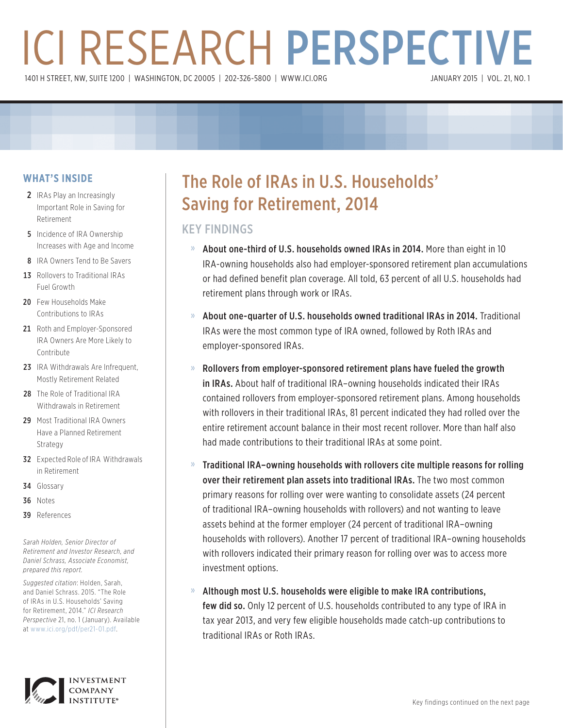# ICI RESEARCH PERSPECTIVE 1401 H STREET, NW, SUITE 1200 | WASHINGTON, DC 20005 | 202-326-5800 | [WWW.ICI.ORG](www.ici.org)

### **WHAT'S INSIDE**

- 2 IRAs Play an Increasingly Important Role in Saving for Retirement
- **5** Incidence of IRA Ownership Increases with Age and Income
- 8 IRA Owners Tend to Be Savers
- 13 Rollovers to Traditional IRAs Fuel Growth
- 20 Few Households Make Contributions to IRAs
- 21 Roth and Employer-Sponsored IRA Owners Are More Likely to Contribute
- 23 IRA Withdrawals Are Infrequent. Mostly Retirement Related
- 28 The Role of Traditional IRA Withdrawals in Retirement
- 29 Most Traditional IRA Owners Have a Planned Retirement Strategy
- **32** Expected Role of IRA Withdrawals in Retirement
- 34 Glossary
- 36 Notes
- 39 References

*Sarah Holden, Senior Director of Retirement and Investor Research, and Daniel Schrass, Associate Economist, prepared this report.*

*Suggested citation*: Holden, Sarah, and Daniel Schrass. 2015. "The Role of IRAs in U.S. Households' Saving for Retirement, 2014." *ICI Research Perspective* 21, no. 1 (January). Available at <www.ici.org/pdf/per21-01.pdf>.



## The Role of IRAs in U.S. Households' Saving for Retirement, 2014

### KEY FINDINGS

- » About one-third of U.S. households owned IRAs in 2014. More than eight in 10 IRA-owning households also had employer-sponsored retirement plan accumulations or had defined benefit plan coverage. All told, 63 percent of all U.S. households had retirement plans through work or IRAs.
- » About one-quarter of U.S. households owned traditional IRAs in 2014. Traditional IRAs were the most common type of IRA owned, followed by Roth IRAs and employer-sponsored IRAs.
- » Rollovers from employer-sponsored retirement plans have fueled the growth in IRAs. About half of traditional IRA–owning households indicated their IRAs contained rollovers from employer-sponsored retirement plans. Among households with rollovers in their traditional IRAs, 81 percent indicated they had rolled over the entire retirement account balance in their most recent rollover. More than half also had made contributions to their traditional IRAs at some point.
- » Traditional IRA–owning households with rollovers cite multiple reasons for rolling over their retirement plan assets into traditional IRAs. The two most common primary reasons for rolling over were wanting to consolidate assets (24 percent of traditional IRA–owning households with rollovers) and not wanting to leave assets behind at the former employer (24 percent of traditional IRA–owning households with rollovers). Another 17 percent of traditional IRA–owning households with rollovers indicated their primary reason for rolling over was to access more investment options.
- » Although most U.S. households were eligible to make IRA contributions, few did so. Only 12 percent of U.S. households contributed to any type of IRA in tax year 2013, and very few eligible households made catch-up contributions to traditional IRAs or Roth IRAs.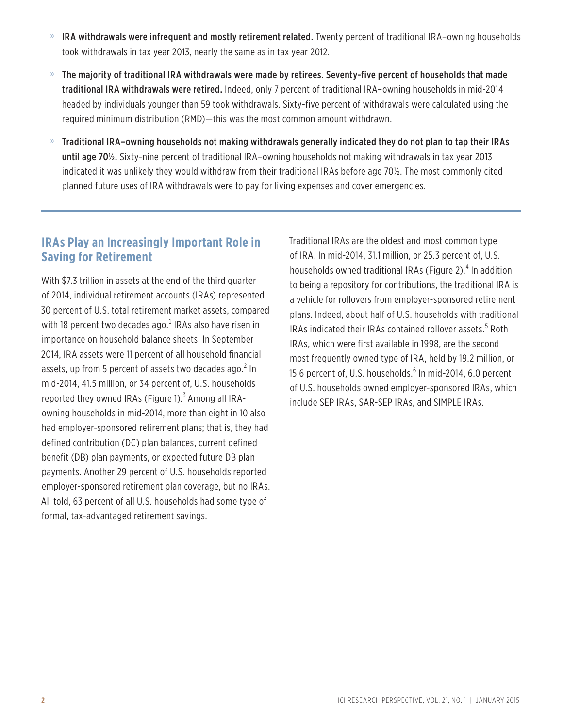- » IRA withdrawals were infrequent and mostly retirement related. Twenty percent of traditional IRA–owning households took withdrawals in tax year 2013, nearly the same as in tax year 2012.
- » The majority of traditional IRA withdrawals were made by retirees. Seventy-five percent of households that made traditional IRA withdrawals were retired. Indeed, only 7 percent of traditional IRA–owning households in mid-2014 headed by individuals younger than 59 took withdrawals. Sixty-five percent of withdrawals were calculated using the required minimum distribution (RMD)—this was the most common amount withdrawn.
- » Traditional IRA–owning households not making withdrawals generally indicated they do not plan to tap their IRAs until age 70<sup>1</sup>/<sub>2</sub>. Sixty-nine percent of traditional IRA-owning households not making withdrawals in tax year 2013 indicated it was unlikely they would withdraw from their traditional IRAs before age 70½. The most commonly cited planned future uses of IRA withdrawals were to pay for living expenses and cover emergencies.

### **IRAs Play an Increasingly Important Role in Saving for Retirement**

With \$7.3 trillion in assets at the end of the third quarter of 2014, individual retirement accounts (IRAs) represented 30 percent of U.S. total retirement market assets, compared with 18 percent two decades ago. $^1$  IRAs also have risen in importance on household balance sheets. In September 2014, IRA assets were 11 percent of all household financial assets, up from 5 percent of assets two decades ago. $^2$  In mid-2014, 41.5 million, or 34 percent of, U.S. households reported they owned IRAs (Figure 1). $3$  Among all IRAowning households in mid-2014, more than eight in 10 also had employer-sponsored retirement plans; that is, they had defined contribution (DC) plan balances, current defined benefit (DB) plan payments, or expected future DB plan payments. Another 29 percent of U.S. households reported employer-sponsored retirement plan coverage, but no IRAs. All told, 63 percent of all U.S. households had some type of formal, tax-advantaged retirement savings.

Traditional IRAs are the oldest and most common type of IRA. In mid-2014, 31.1 million, or 25.3 percent of, U.S. households owned traditional IRAs (Figure 2).<sup>4</sup> In addition to being a repository for contributions, the traditional IRA is a vehicle for rollovers from employer-sponsored retirement plans. Indeed, about half of U.S. households with traditional IRAs indicated their IRAs contained rollover assets.<sup>5</sup> Roth IRAs, which were first available in 1998, are the second most frequently owned type of IRA, held by 19.2 million, or 15.6 percent of, U.S. households.<sup>6</sup> In mid-2014, 6.0 percent of U.S. households owned employer-sponsored IRAs, which include SEP IRAs, SAR-SEP IRAs, and SIMPLE IRAs.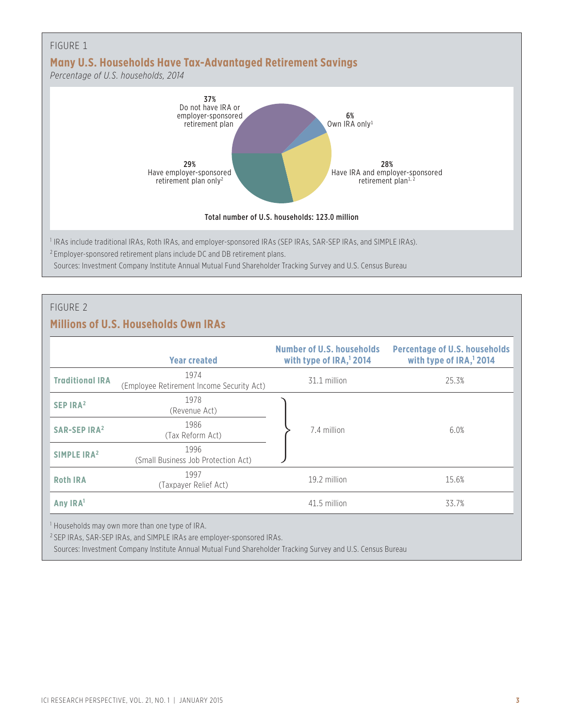

#### FIGURE 2

### **Millions of U.S. Households Own IRAs**

|                                | <b>Year created</b>                                          | Number of U.S. households<br>with type of $IRA112014$ | <b>Percentage of U.S. households</b><br>with type of IRA, <sup>1</sup> 2014 |
|--------------------------------|--------------------------------------------------------------|-------------------------------------------------------|-----------------------------------------------------------------------------|
| <b>Traditional IRA</b>         | 1974<br>(Employee Retirement Income Security Act)            | 31.1 million                                          | 25.3%                                                                       |
| SEP $IRA2$                     | 1978<br>(Revenue Act)                                        |                                                       |                                                                             |
| <b>SAR-SEP IRA<sup>2</sup></b> | 1986<br>(Tax Reform Act)                                     | 7.4 million                                           | 6.0%                                                                        |
| SIMPLE IRA <sup>2</sup>        | 1996<br>(Small Business Job Protection Act)                  |                                                       |                                                                             |
| <b>Roth IRA</b>                | 1997<br>(Taxpayer Relief Act)                                | 19.2 million                                          | 15.6%                                                                       |
| Any IRA <sup>1</sup>           |                                                              | 41.5 million                                          | 33.7%                                                                       |
|                                | $1$ llousabelds may own mare than ano type of $\mathbb{R}^n$ |                                                       |                                                                             |

<sup>1</sup> Households may own more than one type of IRA.

<sup>2</sup> SEP IRAs, SAR-SEP IRAs, and SIMPLE IRAs are employer-sponsored IRAs.

Sources: Investment Company Institute Annual Mutual Fund Shareholder Tracking Survey and U.S. Census Bureau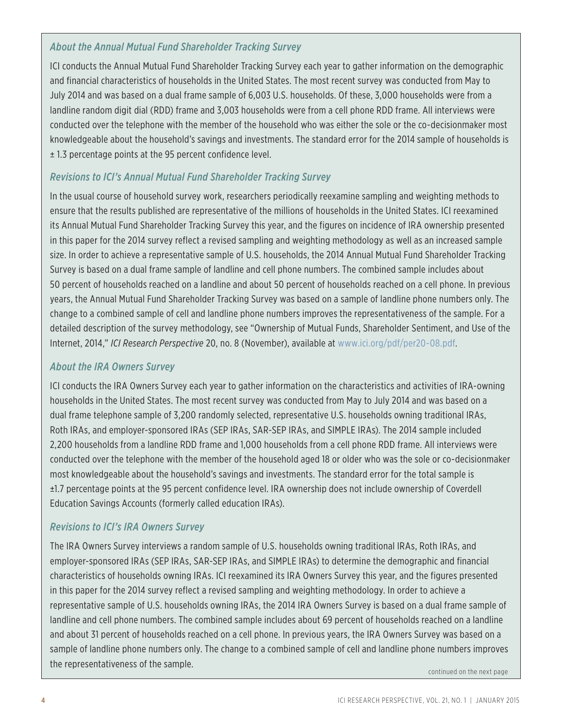### *About the Annual Mutual Fund Shareholder Tracking Survey*

ICI conducts the Annual Mutual Fund Shareholder Tracking Survey each year to gather information on the demographic and financial characteristics of households in the United States. The most recent survey was conducted from May to July 2014 and was based on a dual frame sample of 6,003 U.S. households. Of these, 3,000 households were from a landline random digit dial (RDD) frame and 3,003 households were from a cell phone RDD frame. All interviews were conducted over the telephone with the member of the household who was either the sole or the co-decisionmaker most knowledgeable about the household's savings and investments. The standard error for the 2014 sample of households is ± 1.3 percentage points at the 95 percent confidence level.

### *Revisions to ICI's Annual Mutual Fund Shareholder Tracking Survey*

In the usual course of household survey work, researchers periodically reexamine sampling and weighting methods to ensure that the results published are representative of the millions of households in the United States. ICI reexamined its Annual Mutual Fund Shareholder Tracking Survey this year, and the figures on incidence of IRA ownership presented in this paper for the 2014 survey reflect a revised sampling and weighting methodology as well as an increased sample size. In order to achieve a representative sample of U.S. households, the 2014 Annual Mutual Fund Shareholder Tracking Survey is based on a dual frame sample of landline and cell phone numbers. The combined sample includes about 50 percent of households reached on a landline and about 50 percent of households reached on a cell phone. In previous years, the Annual Mutual Fund Shareholder Tracking Survey was based on a sample of landline phone numbers only. The change to a combined sample of cell and landline phone numbers improves the representativeness of the sample. For a detailed description of the survey methodology, see "Ownership of Mutual Funds, Shareholder Sentiment, and Use of the Internet, 2014," *ICI Research Perspective* 20, no. 8 (November), available at <www.ici.org/pdf/per20-08.pdf>.

### *About the IRA Owners Survey*

ICI conducts the IRA Owners Survey each year to gather information on the characteristics and activities of IRA-owning households in the United States. The most recent survey was conducted from May to July 2014 and was based on a dual frame telephone sample of 3,200 randomly selected, representative U.S. households owning traditional IRAs, Roth IRAs, and employer-sponsored IRAs (SEP IRAs, SAR-SEP IRAs, and SIMPLE IRAs). The 2014 sample included 2,200 households from a landline RDD frame and 1,000 households from a cell phone RDD frame. All interviews were conducted over the telephone with the member of the household aged 18 or older who was the sole or co-decisionmaker most knowledgeable about the household's savings and investments. The standard error for the total sample is ±1.7 percentage points at the 95 percent confidence level. IRA ownership does not include ownership of Coverdell Education Savings Accounts (formerly called education IRAs).

### *Revisions to ICI's IRA Owners Survey*

The IRA Owners Survey interviews a random sample of U.S. households owning traditional IRAs, Roth IRAs, and employer-sponsored IRAs (SEP IRAs, SAR-SEP IRAs, and SIMPLE IRAs) to determine the demographic and financial characteristics of households owning IRAs. ICI reexamined its IRA Owners Survey this year, and the figures presented in this paper for the 2014 survey reflect a revised sampling and weighting methodology. In order to achieve a representative sample of U.S. households owning IRAs, the 2014 IRA Owners Survey is based on a dual frame sample of landline and cell phone numbers. The combined sample includes about 69 percent of households reached on a landline and about 31 percent of households reached on a cell phone. In previous years, the IRA Owners Survey was based on a sample of landline phone numbers only. The change to a combined sample of cell and landline phone numbers improves the representativeness of the sample.

continued on the next page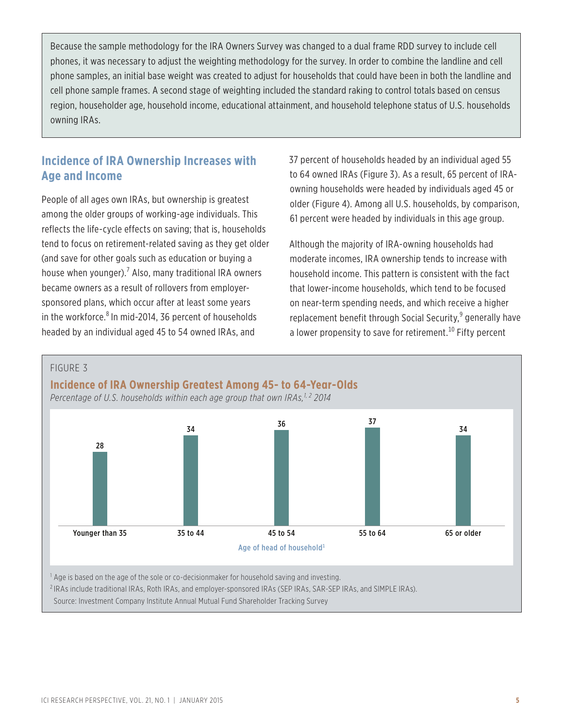Because the sample methodology for the IRA Owners Survey was changed to a dual frame RDD survey to include cell phones, it was necessary to adjust the weighting methodology for the survey. In order to combine the landline and cell phone samples, an initial base weight was created to adjust for households that could have been in both the landline and cell phone sample frames. A second stage of weighting included the standard raking to control totals based on census region, householder age, household income, educational attainment, and household telephone status of U.S. households owning IRAs.

### **Incidence of IRA Ownership Increases with Age and Income**

People of all ages own IRAs, but ownership is greatest among the older groups of working-age individuals. This reflects the life-cycle effects on saving; that is, households tend to focus on retirement-related saving as they get older (and save for other goals such as education or buying a house when younger).<sup>7</sup> Also, many traditional IRA owners became owners as a result of rollovers from employersponsored plans, which occur after at least some years in the workforce.<sup>8</sup> In mid-2014, 36 percent of households headed by an individual aged 45 to 54 owned IRAs, and

37 percent of households headed by an individual aged 55 to 64 owned IRAs (Figure 3). As a result, 65 percent of IRAowning households were headed by individuals aged 45 or older (Figure 4). Among all U.S. households, by comparison, 61 percent were headed by individuals in this age group.

Although the majority of IRA-owning households had moderate incomes, IRA ownership tends to increase with household income. This pattern is consistent with the fact that lower-income households, which tend to be focused on near-term spending needs, and which receive a higher replacement benefit through Social Security,<sup>9</sup> generally have a lower propensity to save for retirement.<sup>10</sup> Fifty percent

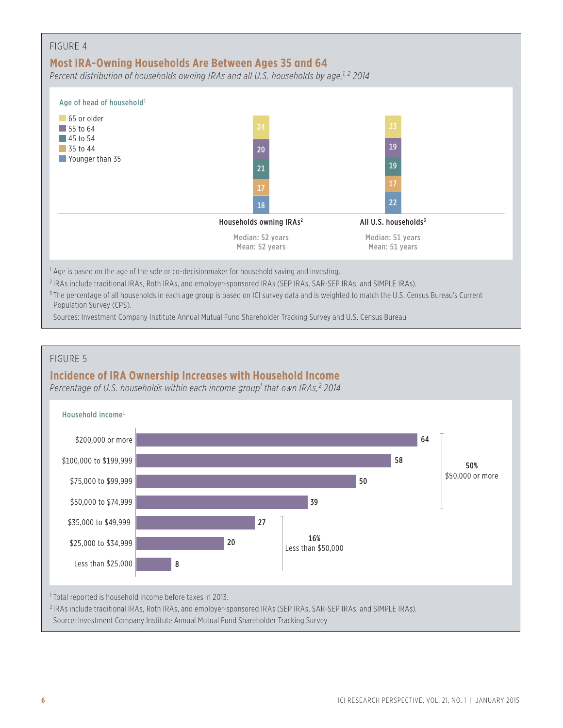| FIGURE 4                              | Most IRA-Owning Households Are Between Ages 35 and 64<br>Percent distribution of households owning IRAs and all U.S. households by age, <sup>1,2</sup> 2014 |                                    |  |
|---------------------------------------|-------------------------------------------------------------------------------------------------------------------------------------------------------------|------------------------------------|--|
| Age of head of household <sup>1</sup> |                                                                                                                                                             |                                    |  |
| 65 or older<br>$\vert$ 55 to 64       | 24                                                                                                                                                          | 23                                 |  |
| 45 to 54<br>$\blacksquare$ 35 to 44   | 20                                                                                                                                                          | 19                                 |  |
| Younger than 35                       | 21                                                                                                                                                          | 19                                 |  |
|                                       | 17                                                                                                                                                          | 17                                 |  |
|                                       | 18                                                                                                                                                          | 22                                 |  |
|                                       | Households owning IRAs <sup>2</sup>                                                                                                                         | All U.S. households <sup>3</sup>   |  |
|                                       | Median: 52 years<br>Mean: 52 years                                                                                                                          | Median: 51 years<br>Mean: 51 years |  |
|                                       | $\frac{1}{1}$ Age is based on the age of the sole or co-decisionmaker for household saving and investing.                                                   |                                    |  |

<sup>2</sup> IRAs include traditional IRAs, Roth IRAs, and employer-sponsored IRAs (SEP IRAs, SAR-SEP IRAs, and SIMPLE IRAs).

<sup>3</sup> The percentage of all households in each age group is based on ICI survey data and is weighted to match the U.S. Census Bureau's Current Population Survey (CPS).

Sources: Investment Company Institute Annual Mutual Fund Shareholder Tracking Survey and U.S. Census Bureau

### FIGURE 5

### **Incidence of IRA Ownership Increases with Household Income**

*Percentage of U.S. households within each income group1 that own IRAs,2 2014*

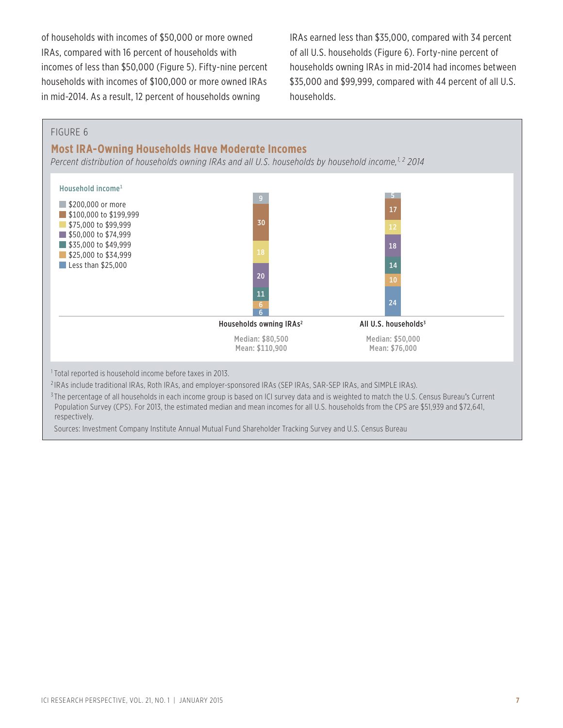of households with incomes of \$50,000 or more owned IRAs, compared with 16 percent of households with incomes of less than \$50,000 (Figure 5). Fifty-nine percent households with incomes of \$100,000 or more owned IRAs in mid-2014. As a result, 12 percent of households owning

IRAs earned less than \$35,000, compared with 34 percent of all U.S. households (Figure 6). Forty-nine percent of households owning IRAs in mid-2014 had incomes between \$35,000 and \$99,999, compared with 44 percent of all U.S. households.

#### FIGURE 6

#### **Most IRA-Owning Households Have Moderate Incomes**

*Percent distribution of households owning IRAs and all U.S. households by household income,1, 2 2014*



<sup>1</sup> Total reported is household income before taxes in 2013.

<sup>2</sup> IRAs include traditional IRAs, Roth IRAs, and employer-sponsored IRAs (SEP IRAs, SAR-SEP IRAs, and SIMPLE IRAs).

<sup>3</sup>The percentage of all households in each income group is based on ICI survey data and is weighted to match the U.S. Census Bureau's Current Population Survey (CPS). For 2013, the estimated median and mean incomes for all U.S. households from the CPS are \$51,939 and \$72,641, respectively.

Sources: Investment Company Institute Annual Mutual Fund Shareholder Tracking Survey and U.S. Census Bureau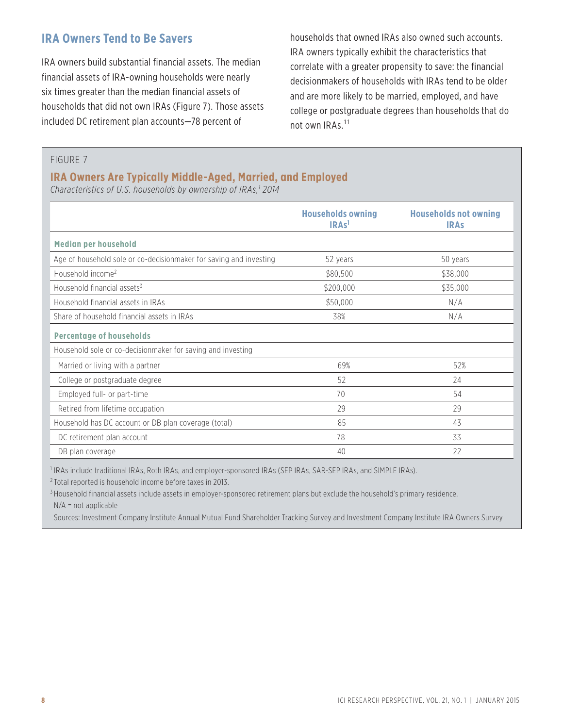### **IRA Owners Tend to Be Savers**

IRA owners build substantial financial assets. The median financial assets of IRA-owning households were nearly six times greater than the median financial assets of households that did not own IRAs (Figure 7). Those assets included DC retirement plan accounts—78 percent of

households that owned IRAs also owned such accounts. IRA owners typically exhibit the characteristics that correlate with a greater propensity to save: the financial decisionmakers of households with IRAs tend to be older and are more likely to be married, employed, and have college or postgraduate degrees than households that do not own IRAs.<sup>11</sup>

FIGURE 7

### **IRA Owners Are Typically Middle-Aged, Married, and Employed**

*Characteristics of U.S. households by ownership of IRAs,1 2014*

|                                                                    | <b>Households owning</b><br>IRAs <sup>1</sup> | <b>Households not owning</b><br><b>IRAS</b> |
|--------------------------------------------------------------------|-----------------------------------------------|---------------------------------------------|
| <b>Median per household</b>                                        |                                               |                                             |
| Age of household sole or co-decisionmaker for saving and investing | 52 years                                      | 50 years                                    |
| Household income <sup>2</sup>                                      | \$80,500                                      | \$38,000                                    |
| Household financial assets <sup>3</sup>                            | \$200,000                                     | \$35,000                                    |
| Household financial assets in IRAs                                 | \$50,000                                      | N/A                                         |
| Share of household financial assets in IRAs                        | 38%                                           | N/A                                         |
| <b>Percentage of households</b>                                    |                                               |                                             |
| Household sole or co-decisionmaker for saving and investing        |                                               |                                             |
| Married or living with a partner                                   | 69%                                           | 52%                                         |
| College or postgraduate degree                                     | 52                                            | 24                                          |
| Employed full- or part-time                                        | 70                                            | 54                                          |
| Retired from lifetime occupation                                   | 29                                            | 29                                          |
| Household has DC account or DB plan coverage (total)               | 85                                            | 43                                          |
| DC retirement plan account                                         | 78                                            | 33                                          |
| DB plan coverage                                                   | 40                                            | 22                                          |

<sup>1</sup> IRAs include traditional IRAs, Roth IRAs, and employer-sponsored IRAs (SEP IRAs, SAR-SEP IRAs, and SIMPLE IRAs).

<sup>2</sup> Total reported is household income before taxes in 2013.

<sup>3</sup> Household financial assets include assets in employer-sponsored retirement plans but exclude the household's primary residence. N/A = not applicable

Sources: Investment Company Institute Annual Mutual Fund Shareholder Tracking Survey and Investment Company Institute IRA Owners Survey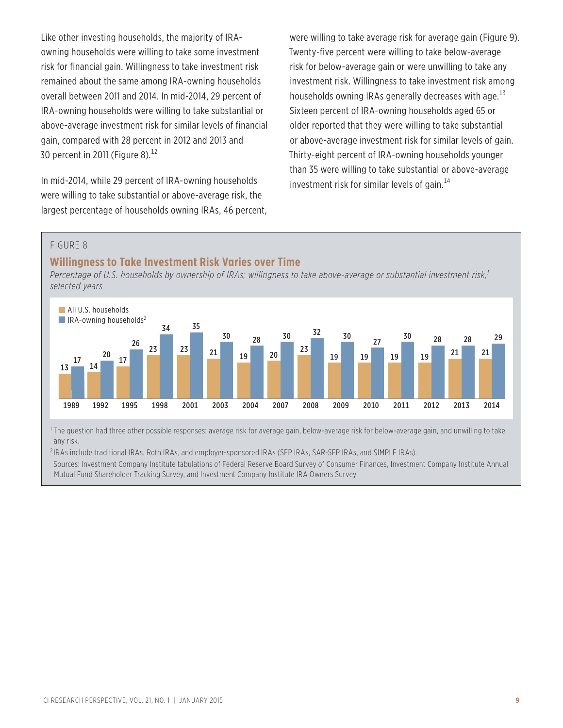Like other investing households, the majority of IRAowning households were willing to take some investment risk for financial gain. Willingness to take investment risk remained about the same among IRA-owning households overall between 2011 and 2014. In mid-2014, 29 percent of IRA-owning households were willing to take substantial or above-average investment risk for similar levels of financial gain, compared with 28 percent in 2012 and 2013 and 30 percent in 2011 (Figure 8). $^{12}$ 

In mid-2014, while 29 percent of IRA-owning households were willing to take substantial or above-average risk, the largest percentage of households owning IRAs, 46 percent, were willing to take average risk for average gain (Figure 9). Twenty-five percent were willing to take below-average risk for below-average gain or were unwilling to take any investment risk. Willingness to take investment risk among households owning IRAs generally decreases with age.<sup>13</sup> Sixteen percent of IRA-owning households aged 65 or older reported that they were willing to take substantial or above-average investment risk for similar levels of gain. Thirty-eight percent of IRA-owning households younger than 35 were willing to take substantial or above-average investment risk for similar levels of gain. $^{14}$ 

#### FIGURE 8

#### **Willingness to Take Investment Risk Varies over Time**

*Percentage of U.S. households by ownership of IRAs; willingness to take above-average or substantial investment risk,1 selected years*



<sup>1</sup>The question had three other possible responses: average risk for average gain, below-average risk for below-average gain, and unwilling to take any risk.

<sup>2</sup> IRAs include traditional IRAs, Roth IRAs, and employer-sponsored IRAs (SEP IRAs, SAR-SEP IRAs, and SIMPLE IRAs).

Sources: Investment Company Institute tabulations of Federal Reserve Board Survey of Consumer Finances, Investment Company Institute Annual Mutual Fund Shareholder Tracking Survey, and Investment Company Institute IRA Owners Survey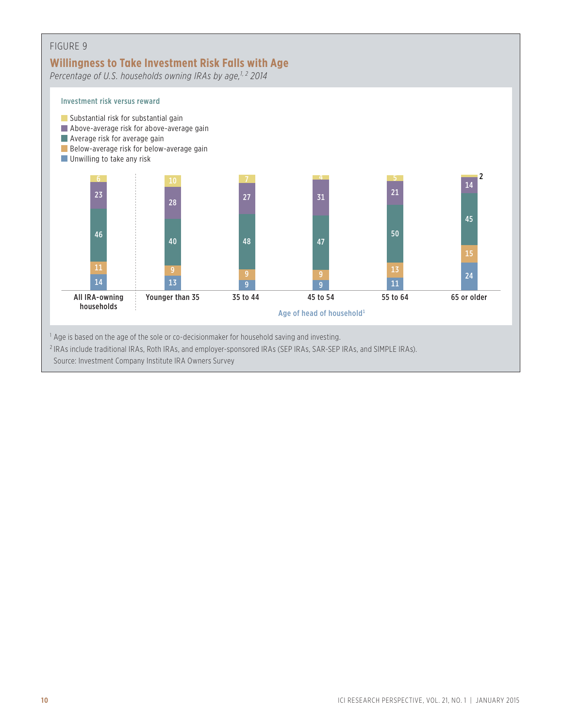### FIGURE 9 **Willingness to Take Investment Risk Falls with Age** *Percentage of U.S. households owning IRAs by age,1, 2 2014* Investment risk versus reward Age of head of household<sup>1</sup> All IRA-owning Younger than 35 35 to 44 45 to 54 55 to 64 65 or older households  $\begin{array}{|c|c|c|c|c|c|}\n\hline\n10 & 10 & 7 & 4 & 7 & 5 & 7 \\
\hline\n\end{array}$ Substantial risk for substantial gain **Above-average risk for above-average gain Average risk for average gain** Below-average risk for below-average gain **Unwilling to take any risk** 14  $22$  27  $31$   $21$ 23 45 50 40 48 47 46 15  $\begin{array}{|c|c|c|c|c|}\hline \textbf{11} & \textbf{9} & \textbf{9} & \textbf{9} & \textbf{13} \ \hline \end{array}$ 24 14 13 9 9 9 11 <sup>1</sup> Age is based on the age of the sole or co-decisionmaker for household saving and investing. <sup>2</sup> IRAs include traditional IRAs, Roth IRAs, and employer-sponsored IRAs (SEP IRAs, SAR-SEP IRAs, and SIMPLE IRAs).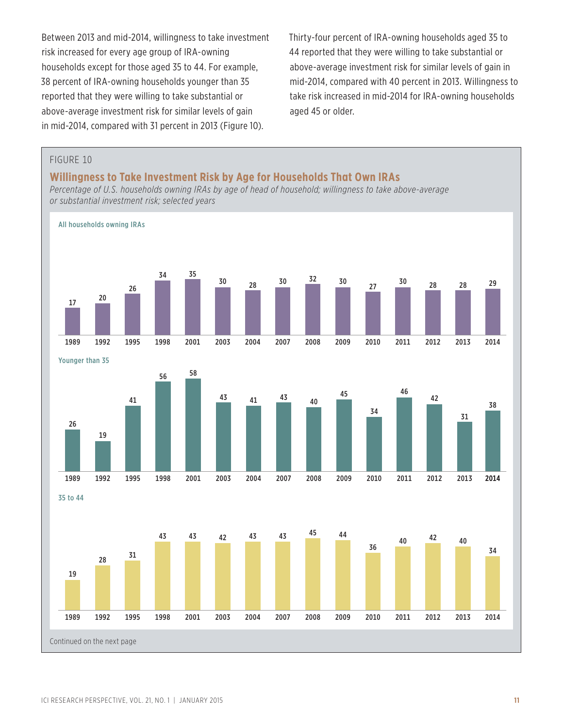Between 2013 and mid-2014, willingness to take investment risk increased for every age group of IRA-owning households except for those aged 35 to 44. For example, 38 percent of IRA-owning households younger than 35 reported that they were willing to take substantial or above-average investment risk for similar levels of gain in mid-2014, compared with 31 percent in 2013 (Figure 10).

Thirty-four percent of IRA-owning households aged 35 to 44 reported that they were willing to take substantial or above-average investment risk for similar levels of gain in mid-2014, compared with 40 percent in 2013. Willingness to take risk increased in mid-2014 for IRA-owning households aged 45 or older.

### FIGURE 10 **Willingness to Take Investment Risk by Age for Households That Own IRAs** *Percentage of U.S. households owning IRAs by age of head of household; willingness to take above-average or substantial investment risk; selected years* All households owning IRAs Younger than 35 35 to 44 2013 2014 2014 1989 1992 1995 1998 2001 2003 2004 2007 2008 2009 2010 2011 2012 28 29 38 2014 34 30 28 30 <sup>32</sup> 30 27 <sup>30</sup> 28 34 35 26 <sup>20</sup> <sup>17</sup> 1989 1992 1995 1998 2001 2003 2004 2007 2008 2009 2010 2011 2012 2013 1989 1992 1995 1998 2001 2003 2004 2007 2008 2009 2010 2011 2012 2013 40 42 40 36 43 43 42 43 43 45 44 <sup>31</sup> <sup>28</sup> 19 31 42 46 34 45 43 41 43 40 <sup>58</sup> <sup>56</sup> 41 19 26 Continued on the next page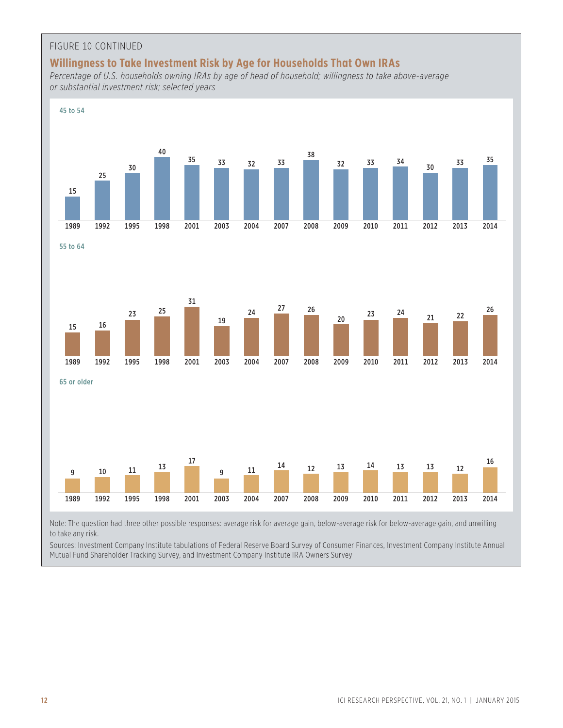#### FIGURE 10 CONTINUED

#### **Willingness to Take Investment Risk by Age for Households That Own IRAs**

*Percentage of U.S. households owning IRAs by age of head of household; willingness to take above-average or substantial investment risk; selected years*



Note: The question had three other possible responses: average risk for average gain, below-average risk for below-average gain, and unwilling to take any risk.

Sources: Investment Company Institute tabulations of Federal Reserve Board Survey of Consumer Finances, Investment Company Institute Annual Mutual Fund Shareholder Tracking Survey, and Investment Company Institute IRA Owners Survey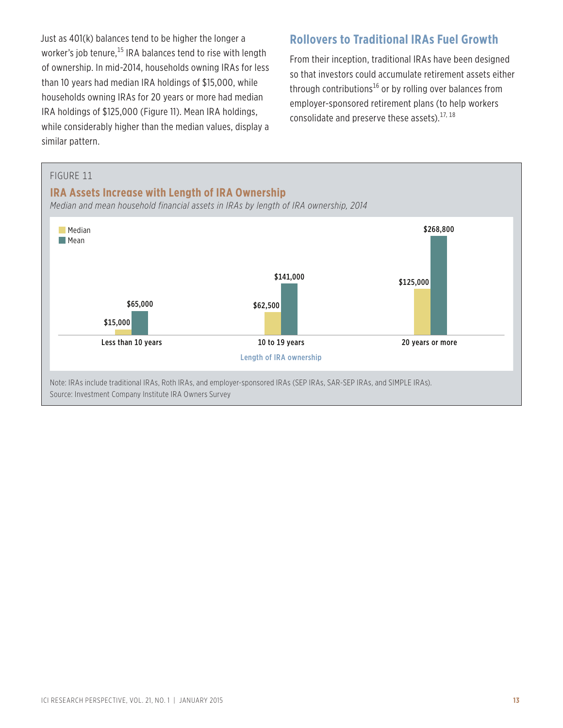Just as 401(k) balances tend to be higher the longer a worker's job tenure, $^{15}$  IRA balances tend to rise with length of ownership. In mid-2014, households owning IRAs for less than 10 years had median IRA holdings of \$15,000, while households owning IRAs for 20 years or more had median IRA holdings of \$125,000 (Figure 11). Mean IRA holdings, while considerably higher than the median values, display a similar pattern.

### **Rollovers to Traditional IRAs Fuel Growth**

From their inception, traditional IRAs have been designed so that investors could accumulate retirement assets either through contributions<sup>16</sup> or by rolling over balances from employer-sponsored retirement plans (to help workers consolidate and preserve these assets).<sup>17, 18</sup>

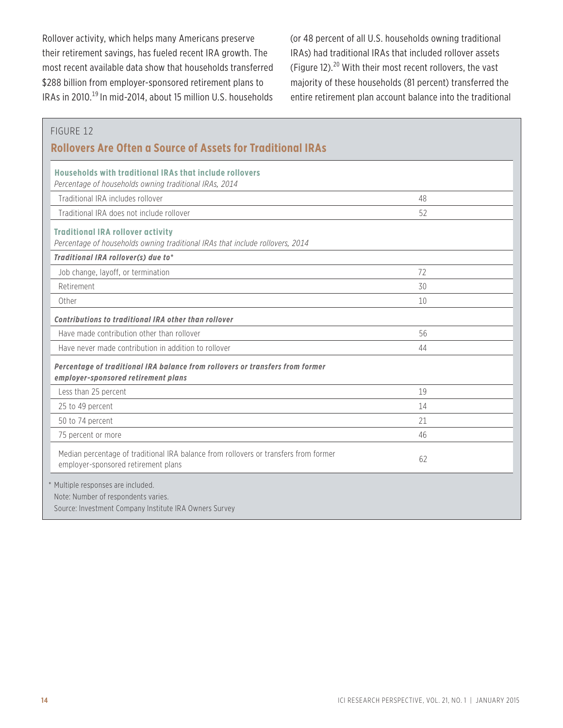Rollover activity, which helps many Americans preserve their retirement savings, has fueled recent IRA growth. The most recent available data show that households transferred \$288 billion from employer-sponsored retirement plans to IRAs in 2010.<sup>19</sup> In mid-2014, about 15 million U.S. households

(or 48 percent of all U.S. households owning traditional IRAs) had traditional IRAs that included rollover assets (Figure 12).20 With their most recent rollovers, the vast majority of these households (81 percent) transferred the entire retirement plan account balance into the traditional

#### FIGURE 12

### **Rollovers Are Often a Source of Assets for Traditional IRAs**

| Households with traditional IRAs that include rollovers<br>Percentage of households owning traditional IRAs, 2014                   |    |
|-------------------------------------------------------------------------------------------------------------------------------------|----|
| Traditional IRA includes rollover                                                                                                   | 48 |
| Traditional IRA does not include rollover                                                                                           | 52 |
| <b>Traditional IRA rollover activity</b><br>Percentage of households owning traditional IRAs that include rollovers, 2014           |    |
| Traditional IRA rollover(s) due to*                                                                                                 |    |
| Job change, layoff, or termination                                                                                                  | 72 |
| Retirement                                                                                                                          | 30 |
| Other                                                                                                                               | 10 |
| <b>Contributions to traditional IRA other than rollover</b>                                                                         |    |
| Have made contribution other than rollover                                                                                          | 56 |
| Have never made contribution in addition to rollover                                                                                | 44 |
| Percentage of traditional IRA balance from rollovers or transfers from former<br>employer-sponsored retirement plans                |    |
| Less than 25 percent                                                                                                                | 19 |
| 25 to 49 percent                                                                                                                    | 14 |
| 50 to 74 percent                                                                                                                    | 21 |
| 75 percent or more                                                                                                                  | 46 |
| Median percentage of traditional IRA balance from rollovers or transfers from former<br>employer-sponsored retirement plans         | 62 |
| * Multiple responses are included.<br>Note: Number of respondents varies.<br>Source: Investment Company Institute IRA Owners Survey |    |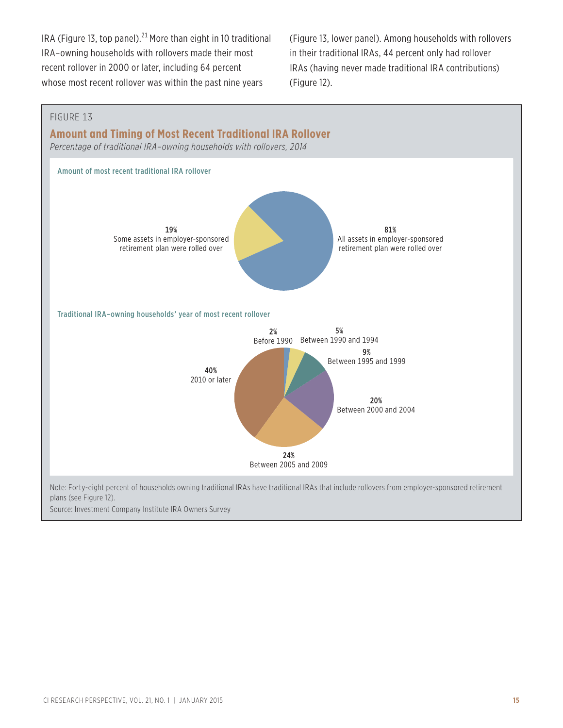IRA (Figure 13, top panel).<sup>21</sup> More than eight in 10 traditional IRA–owning households with rollovers made their most recent rollover in 2000 or later, including 64 percent whose most recent rollover was within the past nine years

(Figure 13, lower panel). Among households with rollovers in their traditional IRAs, 44 percent only had rollover IRAs (having never made traditional IRA contributions) (Figure 12).

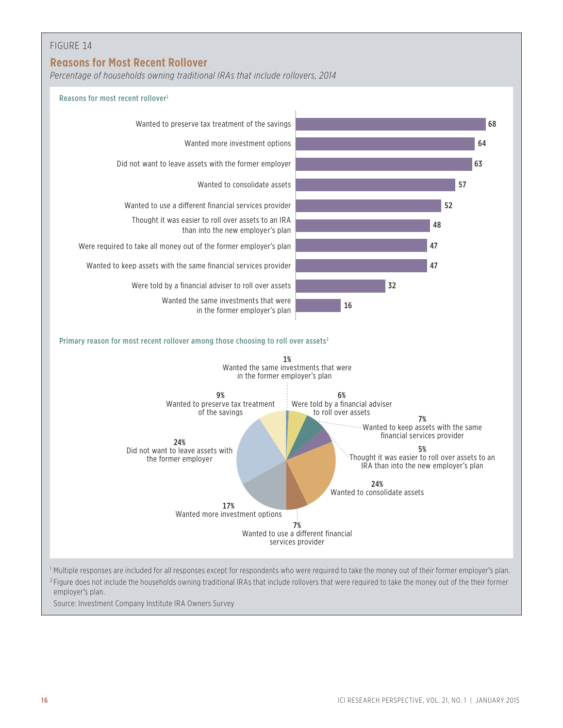### FIGURE 14

### **Reasons for Most Recent Rollover**

*Percentage of households owning traditional IRAs that include rollovers, 2014*



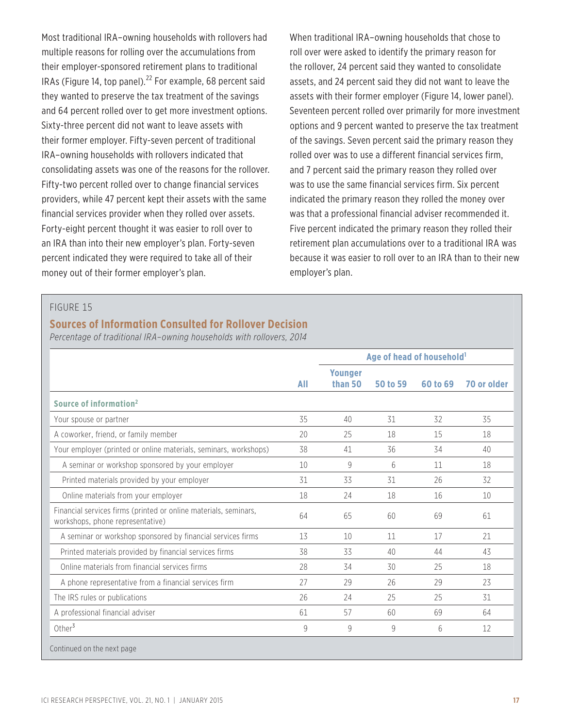Most traditional IRA–owning households with rollovers had multiple reasons for rolling over the accumulations from their employer-sponsored retirement plans to traditional IRAs (Figure 14, top panel). $^{22}$  For example, 68 percent said they wanted to preserve the tax treatment of the savings and 64 percent rolled over to get more investment options. Sixty-three percent did not want to leave assets with their former employer. Fifty-seven percent of traditional IRA–owning households with rollovers indicated that consolidating assets was one of the reasons for the rollover. Fifty-two percent rolled over to change financial services providers, while 47 percent kept their assets with the same financial services provider when they rolled over assets. Forty-eight percent thought it was easier to roll over to an IRA than into their new employer's plan. Forty-seven percent indicated they were required to take all of their money out of their former employer's plan.

When traditional IRA–owning households that chose to roll over were asked to identify the primary reason for the rollover, 24 percent said they wanted to consolidate assets, and 24 percent said they did not want to leave the assets with their former employer (Figure 14, lower panel). Seventeen percent rolled over primarily for more investment options and 9 percent wanted to preserve the tax treatment of the savings. Seven percent said the primary reason they rolled over was to use a different financial services firm, and 7 percent said the primary reason they rolled over was to use the same financial services firm. Six percent indicated the primary reason they rolled the money over was that a professional financial adviser recommended it. Five percent indicated the primary reason they rolled their retirement plan accumulations over to a traditional IRA was because it was easier to roll over to an IRA than to their new employer's plan.

#### FIGURE 15

### **Sources of Information Consulted for Rollover Decision**

*Percentage of traditional IRA–owning households with rollovers, 2014*

|                                                                                                      |            | Age of head of household <sup>1</sup> |                 |          |             |
|------------------------------------------------------------------------------------------------------|------------|---------------------------------------|-----------------|----------|-------------|
|                                                                                                      | <b>All</b> | <b>Younger</b><br>than 50             | <b>50 to 59</b> | 60 to 69 | 70 or older |
| Source of information <sup>2</sup>                                                                   |            |                                       |                 |          |             |
| Your spouse or partner                                                                               | 35         | 40                                    | 31              | 32       | 35          |
| A coworker, friend, or family member                                                                 | 20         | 25                                    | 18              | 15       | 18          |
| Your employer (printed or online materials, seminars, workshops)                                     | 38         | 41                                    | 36              | 34       | 40          |
| A seminar or workshop sponsored by your employer                                                     | 10         | 9                                     | 6               | 11       | 18          |
| Printed materials provided by your employer                                                          | 31         | 33                                    | 31              | 26       | 32          |
| Online materials from your employer                                                                  | 18         | 24                                    | 18              | 16       | 10          |
| Financial services firms (printed or online materials, seminars,<br>workshops, phone representative) | 64         | 65                                    | 60              | 69       | 61          |
| A seminar or workshop sponsored by financial services firms                                          | 13         | 10                                    | 11              | 17       | 21          |
| Printed materials provided by financial services firms                                               | 38         | 33                                    | 40              | 44       | 43          |
| Online materials from financial services firms                                                       | 28         | 34                                    | 30              | 25       | 18          |
| A phone representative from a financial services firm                                                | 27         | 29                                    | 26              | 29       | 23          |
| The IRS rules or publications                                                                        | 26         | 24                                    | 25              | 25       | 31          |
| A professional financial adviser                                                                     | 61         | 57                                    | 60              | 69       | 64          |
| Other $3$                                                                                            | 9          | 9                                     | 9               | 6        | 12          |
| Continued on the next page                                                                           |            |                                       |                 |          |             |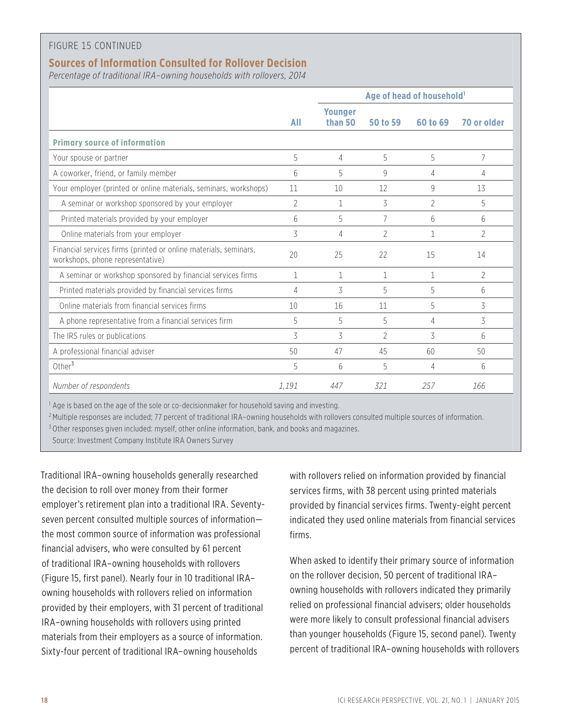#### FIGURE 15 CONTINUED

### **Sources of Information Consulted for Rollover Decision**

*Percentage of traditional IRA–owning households with rollovers, 2014*

|                                                                                                      |                | Age of head of household <sup>1</sup> |                |              |                |
|------------------------------------------------------------------------------------------------------|----------------|---------------------------------------|----------------|--------------|----------------|
|                                                                                                      | All            | <b>Younger</b><br>than 50             | 50 to 59       | 60 to 69     | 70 or older    |
| <b>Primary source of information</b>                                                                 |                |                                       |                |              |                |
| Your spouse or partner                                                                               | 5              | 4                                     | 5              | 5            | 7              |
| A coworker, friend, or family member                                                                 | 6              | 5                                     | 9              | 4            | 4              |
| Your employer (printed or online materials, seminars, workshops)                                     | 11             | 10                                    | 12             | 9            | 13             |
| A seminar or workshop sponsored by your employer                                                     | $\overline{2}$ | 1                                     | 3              | 2            | 5              |
| Printed materials provided by your employer                                                          | 6              | 5                                     | 7              | 6            | 6              |
| Online materials from your employer                                                                  | 3              | 4                                     | 2              | $\mathbf{1}$ | $\overline{2}$ |
| Financial services firms (printed or online materials, seminars,<br>workshops, phone representative) | 20             | 25                                    | 22             | 15           | 14             |
| A seminar or workshop sponsored by financial services firms                                          | $\mathbf{1}$   | 1                                     | $\mathbf{1}$   | $\mathbf{1}$ | $\overline{2}$ |
| Printed materials provided by financial services firms                                               | 4              | 3                                     | 5              | 5            | 6              |
| Online materials from financial services firms                                                       | 10             | 16                                    | 11             | 5            | 3              |
| A phone representative from a financial services firm                                                | 5              | 5                                     | 5              | 4            | 3              |
| The IRS rules or publications                                                                        | 3              | 3                                     | $\mathfrak{D}$ | 3            | 6              |
| A professional financial adviser                                                                     | 50             | 47                                    | 45             | 60           | 50             |
| Other $3$                                                                                            | 5              | 6                                     | 5              | 4            | 6              |
| Number of respondents                                                                                | 1.191          | 447                                   | 321            | 257          | 166            |

<sup>1</sup> Age is based on the age of the sole or co-decisionmaker for household saving and investing.

<sup>2</sup> Multiple responses are included; 77 percent of traditional IRA-owning households with rollovers consulted multiple sources of information.

<sup>3</sup> Other responses given included: myself, other online information, bank, and books and magazines.

Source: Investment Company Institute IRA Owners Survey

Traditional IRA–owning households generally researched the decision to roll over money from their former employer's retirement plan into a traditional IRA. Seventyseven percent consulted multiple sources of information the most common source of information was professional financial advisers, who were consulted by 61 percent of traditional IRA–owning households with rollovers (Figure 15, first panel). Nearly four in 10 traditional IRA– owning households with rollovers relied on information provided by their employers, with 31 percent of traditional IRA–owning households with rollovers using printed materials from their employers as a source of information. Sixty-four percent of traditional IRA–owning households

with rollovers relied on information provided by financial services firms, with 38 percent using printed materials provided by financial services firms. Twenty-eight percent indicated they used online materials from financial services firms.

When asked to identify their primary source of information on the rollover decision, 50 percent of traditional IRA– owning households with rollovers indicated they primarily relied on professional financial advisers; older households were more likely to consult professional financial advisers than younger households (Figure 15, second panel). Twenty percent of traditional IRA–owning households with rollovers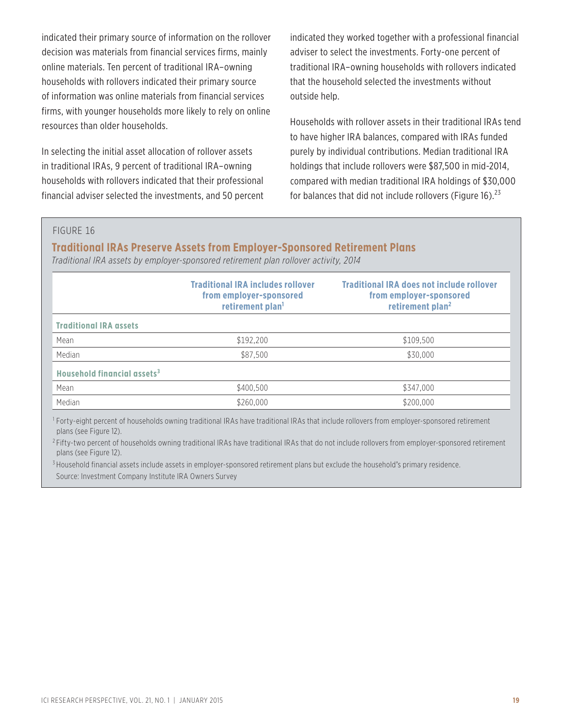indicated their primary source of information on the rollover decision was materials from financial services firms, mainly online materials. Ten percent of traditional IRA–owning households with rollovers indicated their primary source of information was online materials from financial services firms, with younger households more likely to rely on online resources than older households.

In selecting the initial asset allocation of rollover assets in traditional IRAs, 9 percent of traditional IRA–owning households with rollovers indicated that their professional financial adviser selected the investments, and 50 percent

indicated they worked together with a professional financial adviser to select the investments. Forty-one percent of traditional IRA–owning households with rollovers indicated that the household selected the investments without outside help.

Households with rollover assets in their traditional IRAs tend to have higher IRA balances, compared with IRAs funded purely by individual contributions. Median traditional IRA holdings that include rollovers were \$87,500 in mid-2014, compared with median traditional IRA holdings of \$30,000 for balances that did not include rollovers (Figure 16). $^{23}$ 

#### FIGURE 16

#### **Traditional IRAs Preserve Assets from Employer-Sponsored Retirement Plans**

*Traditional IRA assets by employer-sponsored retirement plan rollover activity, 2014*

|                                         | <b>Traditional IRA includes rollover</b><br>from employer-sponsored<br>retirement plan <sup>1</sup> | <b>Traditional IRA does not include rollover</b><br>from employer-sponsored<br>retirement plan <sup>2</sup> |
|-----------------------------------------|-----------------------------------------------------------------------------------------------------|-------------------------------------------------------------------------------------------------------------|
| <b>Traditional IRA assets</b>           |                                                                                                     |                                                                                                             |
| Mean                                    | \$192,200                                                                                           | \$109,500                                                                                                   |
| Median                                  | \$87,500                                                                                            | \$30,000                                                                                                    |
| Household financial assets <sup>3</sup> |                                                                                                     |                                                                                                             |
| Mean                                    | \$400,500                                                                                           | \$347,000                                                                                                   |
| Median                                  | \$260,000                                                                                           | \$200,000                                                                                                   |

<sup>1</sup> Forty-eight percent of households owning traditional IRAs have traditional IRAs that include rollovers from employer-sponsored retirement plans (see Figure 12).

<sup>2</sup> Fifty-two percent of households owning traditional IRAs have traditional IRAs that do not include rollovers from employer-sponsored retirement plans (see Figure 12).

<sup>3</sup> Household financial assets include assets in employer-sponsored retirement plans but exclude the household's primary residence. Source: Investment Company Institute IRA Owners Survey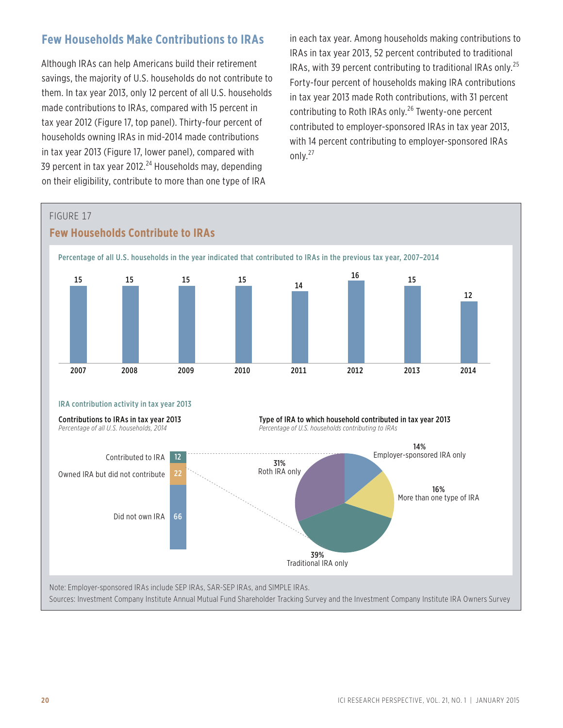### **Few Households Make Contributions to IRAs**

Although IRAs can help Americans build their retirement savings, the majority of U.S. households do not contribute to them. In tax year 2013, only 12 percent of all U.S. households made contributions to IRAs, compared with 15 percent in tax year 2012 (Figure 17, top panel). Thirty-four percent of households owning IRAs in mid-2014 made contributions in tax year 2013 (Figure 17, lower panel), compared with 39 percent in tax year 2012.<sup>24</sup> Households may, depending on their eligibility, contribute to more than one type of IRA

in each tax year. Among households making contributions to IRAs in tax year 2013, 52 percent contributed to traditional IRAs, with 39 percent contributing to traditional IRAs only.<sup>25</sup> Forty-four percent of households making IRA contributions in tax year 2013 made Roth contributions, with 31 percent contributing to Roth IRAs only.<sup>26</sup> Twenty-one percent contributed to employer-sponsored IRAs in tax year 2013, with 14 percent contributing to employer-sponsored IRAs only.<sup>27</sup>

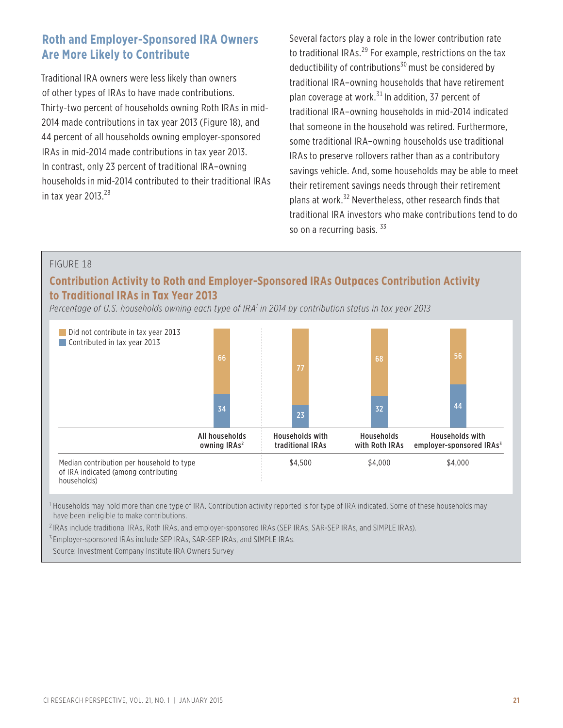### **Roth and Employer-Sponsored IRA Owners Are More Likely to Contribute**

Traditional IRA owners were less likely than owners of other types of IRAs to have made contributions. Thirty-two percent of households owning Roth IRAs in mid-2014 made contributions in tax year 2013 (Figure 18), and 44 percent of all households owning employer-sponsored IRAs in mid-2014 made contributions in tax year 2013. In contrast, only 23 percent of traditional IRA–owning households in mid-2014 contributed to their traditional IRAs in tax year  $2013.<sup>28</sup>$ 

Several factors play a role in the lower contribution rate to traditional IRAs.<sup>29</sup> For example, restrictions on the tax deductibility of contributions<sup>30</sup> must be considered by traditional IRA–owning households that have retirement plan coverage at work. $31$  In addition, 37 percent of traditional IRA–owning households in mid-2014 indicated that someone in the household was retired. Furthermore, some traditional IRA–owning households use traditional IRAs to preserve rollovers rather than as a contributory savings vehicle. And, some households may be able to meet their retirement savings needs through their retirement plans at work.32 Nevertheless, other research finds that traditional IRA investors who make contributions tend to do so on a recurring basis.  $33$ 

#### FIGURE 18

### **Contribution Activity to Roth and Employer-Sponsored IRAs Outpaces Contribution Activity to Traditional IRAs in Tax Year 2013**

*Percentage of U.S. households owning each type of IRA1 in 2014 by contribution status in tax year 2013*



<sup>1</sup> Households may hold more than one type of IRA. Contribution activity reported is for type of IRA indicated. Some of these households may have been ineligible to make contributions.

<sup>2</sup> IRAs include traditional IRAs, Roth IRAs, and employer-sponsored IRAs (SEP IRAs, SAR-SEP IRAs, and SIMPLE IRAs).

<sup>3</sup> Employer-sponsored IRAs include SEP IRAs, SAR-SEP IRAs, and SIMPLE IRAs.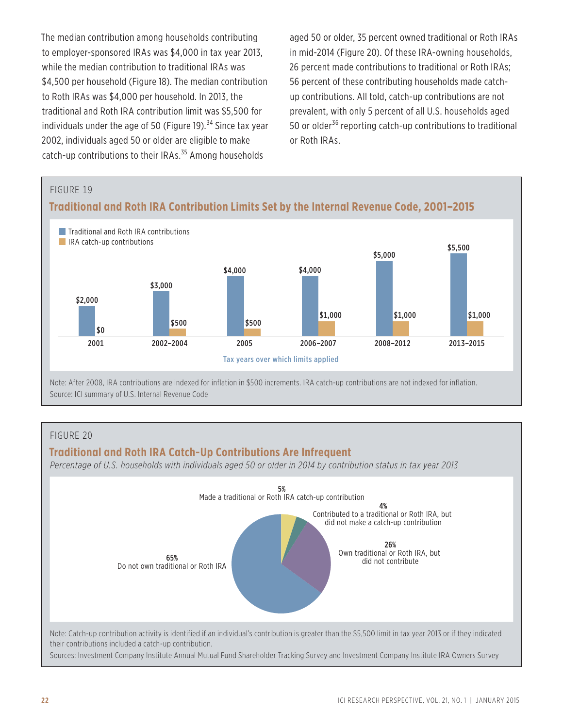The median contribution among households contributing to employer-sponsored IRAs was \$4,000 in tax year 2013, while the median contribution to traditional IRAs was \$4,500 per household (Figure 18). The median contribution to Roth IRAs was \$4,000 per household. In 2013, the traditional and Roth IRA contribution limit was \$5,500 for individuals under the age of 50 (Figure 19). $34$  Since tax year 2002, individuals aged 50 or older are eligible to make catch-up contributions to their IRAs.<sup>35</sup> Among households

aged 50 or older, 35 percent owned traditional or Roth IRAs in mid-2014 (Figure 20). Of these IRA-owning households, 26 percent made contributions to traditional or Roth IRAs; 56 percent of these contributing households made catchup contributions. All told, catch-up contributions are not prevalent, with only 5 percent of all U.S. households aged 50 or older<sup>36</sup> reporting catch-up contributions to traditional or Roth IRAs.



### FIGURE 20

### **Traditional and Roth IRA Catch-Up Contributions Are Infrequent**

*Percentage of U.S. households with individuals aged 50 or older in 2014 by contribution status in tax year 2013*

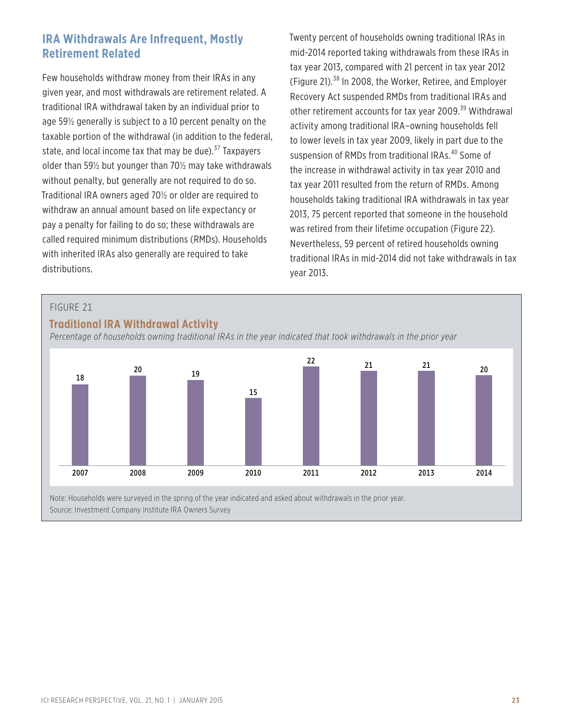### **IRA Withdrawals Are Infrequent, Mostly Retirement Related**

Few households withdraw money from their IRAs in any given year, and most withdrawals are retirement related. A traditional IRA withdrawal taken by an individual prior to age 59½ generally is subject to a 10 percent penalty on the taxable portion of the withdrawal (in addition to the federal, state, and local income tax that may be due).<sup>37</sup> Taxpayers older than 59½ but younger than 70½ may take withdrawals without penalty, but generally are not required to do so. Traditional IRA owners aged 70½ or older are required to withdraw an annual amount based on life expectancy or pay a penalty for failing to do so; these withdrawals are called required minimum distributions (RMDs). Households with inherited IRAs also generally are required to take distributions.

Twenty percent of households owning traditional IRAs in mid-2014 reported taking withdrawals from these IRAs in tax year 2013, compared with 21 percent in tax year 2012 (Figure 21).38 In 2008, the Worker, Retiree, and Employer Recovery Act suspended RMDs from traditional IRAs and other retirement accounts for tax year 2009.<sup>39</sup> Withdrawal activity among traditional IRA–owning households fell to lower levels in tax year 2009, likely in part due to the suspension of RMDs from traditional IRAs.<sup>40</sup> Some of the increase in withdrawal activity in tax year 2010 and tax year 2011 resulted from the return of RMDs. Among households taking traditional IRA withdrawals in tax year 2013, 75 percent reported that someone in the household was retired from their lifetime occupation (Figure 22). Nevertheless, 59 percent of retired households owning traditional IRAs in mid-2014 did not take withdrawals in tax year 2013.



### **Traditional IRA Withdrawal Activity**

*Percentage of households owning traditional IRAs in the year indicated that took withdrawals in the prior year*



Note: Households were surveyed in the spring of the year indicated and asked about withdrawals in the prior year. Source: Investment Company Institute IRA Owners Survey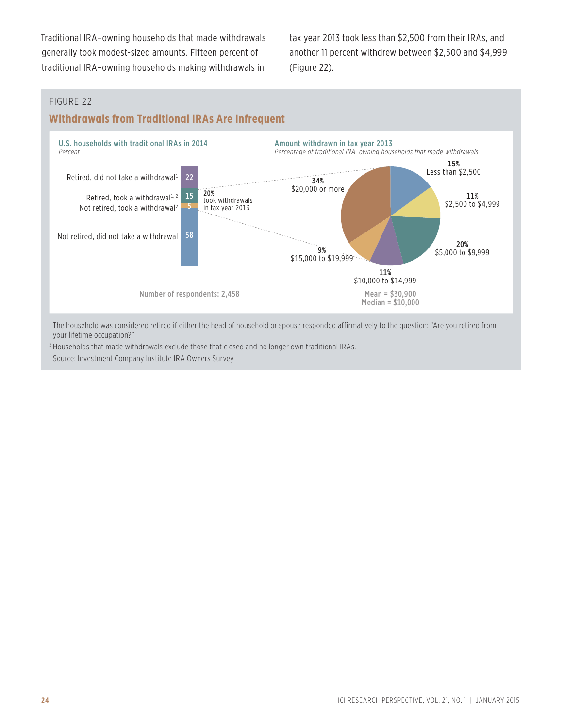Traditional IRA–owning households that made withdrawals generally took modest-sized amounts. Fifteen percent of traditional IRA–owning households making withdrawals in

tax year 2013 took less than \$2,500 from their IRAs, and another 11 percent withdrew between \$2,500 and \$4,999 (Figure 22).

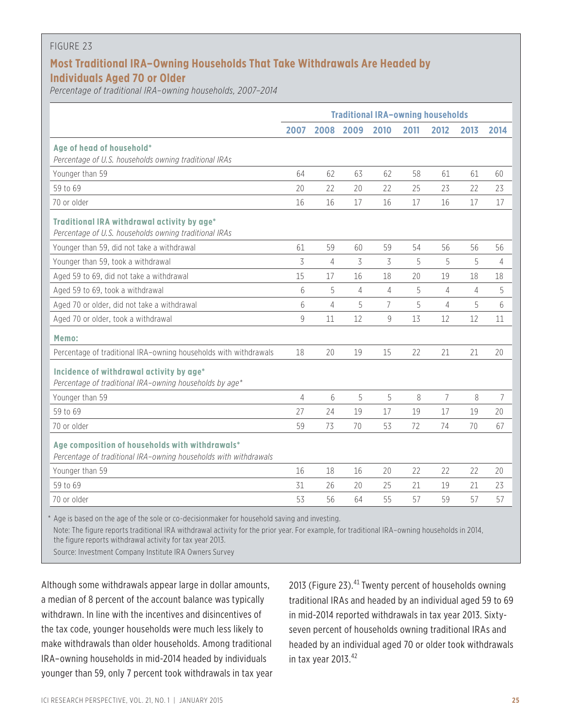#### FIGURE 23

### **Most Traditional IRA–Owning Households That Take Withdrawals Are Headed by Individuals Aged 70 or Older**

*Percentage of traditional IRA–owning households, 2007–2014*

|                                                                                                                     |      |      | <b>Traditional IRA-owning households</b> |                |      |      |      |      |
|---------------------------------------------------------------------------------------------------------------------|------|------|------------------------------------------|----------------|------|------|------|------|
|                                                                                                                     | 2007 | 2008 | 2009                                     | 2010           | 2011 | 2012 | 2013 | 2014 |
| Age of head of household*<br>Percentage of U.S. households owning traditional IRAs                                  |      |      |                                          |                |      |      |      |      |
| Younger than 59                                                                                                     | 64   | 62   | 63                                       | 62             | 58   | 61   | 61   | 60   |
| 59 to 69                                                                                                            | 20   | 22   | 20                                       | 22             | 25   | 23   | 22   | 23   |
| 70 or older                                                                                                         | 16   | 16   | 17                                       | 16             | 17   | 16   | 17   | 17   |
| Traditional IRA withdrawal activity by age*<br>Percentage of U.S. households owning traditional IRAs                |      |      |                                          |                |      |      |      |      |
| Younger than 59, did not take a withdrawal                                                                          | 61   | 59   | 60                                       | 59             | 54   | 56   | 56   | 56   |
| Younger than 59, took a withdrawal                                                                                  | 3    | 4    | 3                                        | 3              | 5    | 5    | 5    | 4    |
| Aged 59 to 69, did not take a withdrawal                                                                            | 15   | 17   | 16                                       | 18             | 20   | 19   | 18   | 18   |
| Aged 59 to 69, took a withdrawal                                                                                    | 6    | 5    | $\overline{4}$                           | 4              | 5    | 4    | 4    | 5    |
| Aged 70 or older, did not take a withdrawal                                                                         | 6    | 4    | 5                                        | $\overline{7}$ | 5    | 4    | 5    | 6    |
| Aged 70 or older, took a withdrawal                                                                                 | 9    | 11   | 12                                       | 9              | 13   | 12   | 12   | 11   |
| Memo:                                                                                                               |      |      |                                          |                |      |      |      |      |
| Percentage of traditional IRA-owning households with withdrawals                                                    | 18   | 20   | 19                                       | 15             | 22   | 21   | 21   | 20   |
| Incidence of withdrawal activity by age*<br>Percentage of traditional IRA-owning households by age*                 |      |      |                                          |                |      |      |      |      |
| Younger than 59                                                                                                     | 4    | 6    | 5                                        | 5              | 8    | 7    | 8    | 7    |
| 59 to 69                                                                                                            | 27   | 24   | 19                                       | 17             | 19   | 17   | 19   | 20   |
| 70 or older                                                                                                         | 59   | 73   | 70                                       | 53             | 72   | 74   | 70   | 67   |
| Age composition of households with withdrawals*<br>Percentage of traditional IRA-owning households with withdrawals |      |      |                                          |                |      |      |      |      |
| Younger than 59                                                                                                     | 16   | 18   | 16                                       | 20             | 22   | 22   | 22   | 20   |
| 59 to 69                                                                                                            | 31   | 26   | 20                                       | 25             | 21   | 19   | 21   | 23   |
| 70 or older                                                                                                         | 53   | 56   | 64                                       | 55             | 57   | 59   | 57   | 57   |

\* Age is based on the age of the sole or co-decisionmaker for household saving and investing.

Note: The figure reports traditional IRA withdrawal activity for the prior year. For example, for traditional IRA–owning households in 2014, the figure reports withdrawal activity for tax year 2013.

Source: Investment Company Institute IRA Owners Survey

Although some withdrawals appear large in dollar amounts, a median of 8 percent of the account balance was typically withdrawn. In line with the incentives and disincentives of the tax code, younger households were much less likely to make withdrawals than older households. Among traditional IRA–owning households in mid-2014 headed by individuals younger than 59, only 7 percent took withdrawals in tax year 2013 (Figure 23).<sup>41</sup> Twenty percent of households owning traditional IRAs and headed by an individual aged 59 to 69 in mid-2014 reported withdrawals in tax year 2013. Sixtyseven percent of households owning traditional IRAs and headed by an individual aged 70 or older took withdrawals in tax year  $2013.<sup>42</sup>$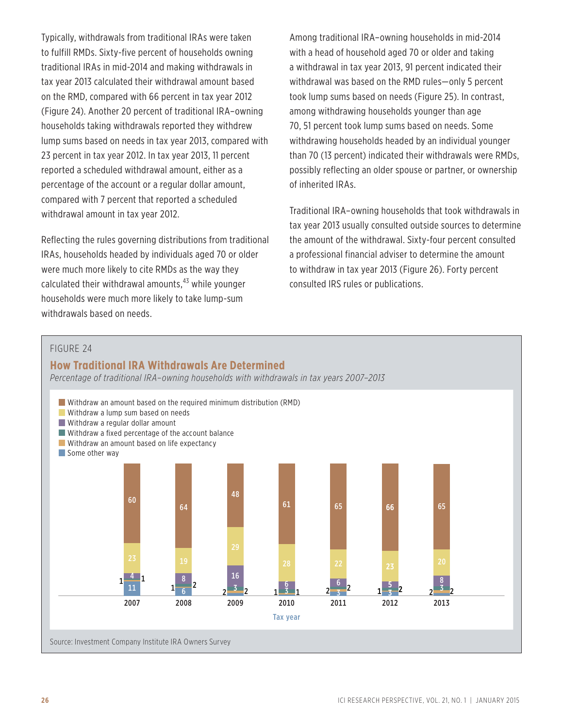Typically, withdrawals from traditional IRAs were taken to fulfill RMDs. Sixty-five percent of households owning traditional IRAs in mid-2014 and making withdrawals in tax year 2013 calculated their withdrawal amount based on the RMD, compared with 66 percent in tax year 2012 (Figure 24). Another 20 percent of traditional IRA–owning households taking withdrawals reported they withdrew lump sums based on needs in tax year 2013, compared with 23 percent in tax year 2012. In tax year 2013, 11 percent reported a scheduled withdrawal amount, either as a percentage of the account or a regular dollar amount, compared with 7 percent that reported a scheduled withdrawal amount in tax year 2012.

Reflecting the rules governing distributions from traditional IRAs, households headed by individuals aged 70 or older were much more likely to cite RMDs as the way they calculated their withdrawal amounts, $43$  while younger households were much more likely to take lump-sum withdrawals based on needs.

Among traditional IRA–owning households in mid-2014 with a head of household aged 70 or older and taking a withdrawal in tax year 2013, 91 percent indicated their withdrawal was based on the RMD rules—only 5 percent took lump sums based on needs (Figure 25). In contrast, among withdrawing households younger than age 70, 51 percent took lump sums based on needs. Some withdrawing households headed by an individual younger than 70 (13 percent) indicated their withdrawals were RMDs, possibly reflecting an older spouse or partner, or ownership of inherited IRAs.

Traditional IRA–owning households that took withdrawals in tax year 2013 usually consulted outside sources to determine the amount of the withdrawal. Sixty-four percent consulted a professional financial adviser to determine the amount to withdraw in tax year 2013 (Figure 26). Forty percent consulted IRS rules or publications.

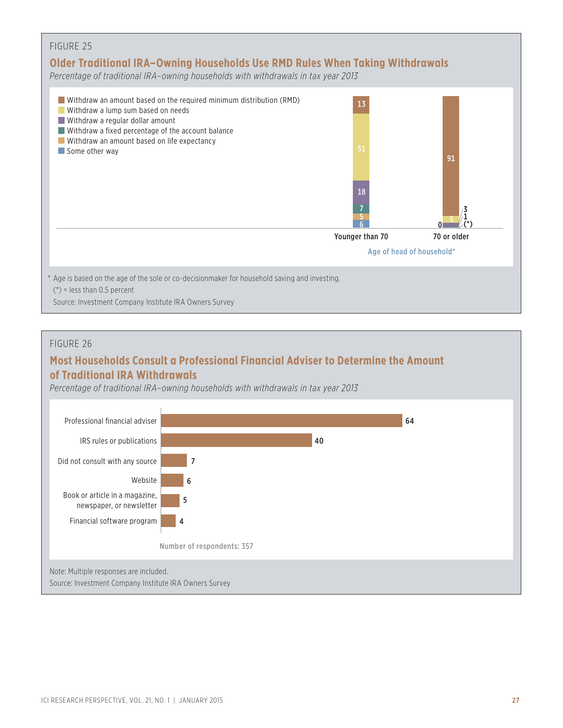

#### FIGURE 26

### **Most Households Consult a Professional Financial Adviser to Determine the Amount of Traditional IRA Withdrawals**

*Percentage of traditional IRA–owning households with withdrawals in tax year 2013*

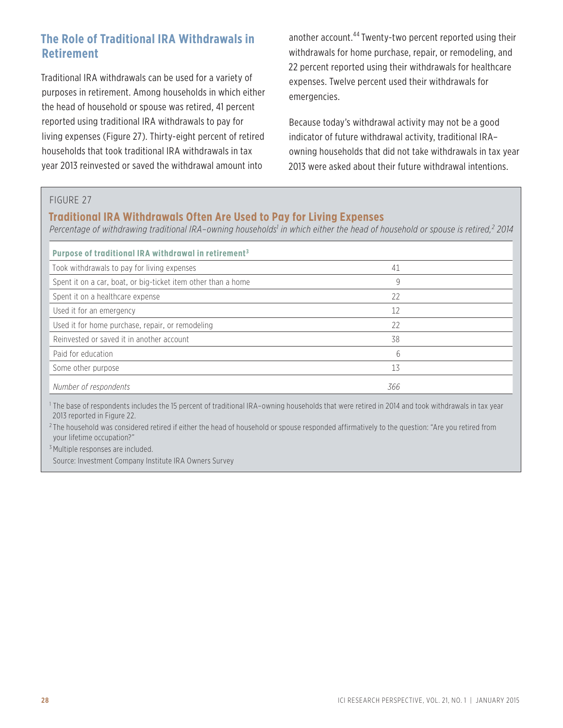### **The Role of Traditional IRA Withdrawals in Retirement**

Traditional IRA withdrawals can be used for a variety of purposes in retirement. Among households in which either the head of household or spouse was retired, 41 percent reported using traditional IRA withdrawals to pay for living expenses (Figure 27). Thirty-eight percent of retired households that took traditional IRA withdrawals in tax year 2013 reinvested or saved the withdrawal amount into

another account.<sup>44</sup> Twenty-two percent reported using their withdrawals for home purchase, repair, or remodeling, and 22 percent reported using their withdrawals for healthcare expenses. Twelve percent used their withdrawals for emergencies.

Because today's withdrawal activity may not be a good indicator of future withdrawal activity, traditional IRA– owning households that did not take withdrawals in tax year 2013 were asked about their future withdrawal intentions.

#### FIGURE 27

### **Traditional IRA Withdrawals Often Are Used to Pay for Living Expenses**

Percentage of withdrawing traditional IRA-owning households<sup>1</sup> in which either the head of household or spouse is retired,<sup>2</sup> 2014

| Purpose of traditional IRA withdrawal in retirement <sup>3</sup> |     |  |
|------------------------------------------------------------------|-----|--|
| Took withdrawals to pay for living expenses                      | 41  |  |
| Spent it on a car, boat, or big-ticket item other than a home    | 9   |  |
| Spent it on a healthcare expense                                 | 22  |  |
| Used it for an emergency                                         | 12  |  |
| Used it for home purchase, repair, or remodeling                 | 22  |  |
| Reinvested or saved it in another account                        | 38  |  |
| Paid for education                                               | 6   |  |
| Some other purpose                                               | 13  |  |
| Number of respondents                                            | 366 |  |

<sup>1</sup> The base of respondents includes the 15 percent of traditional IRA-owning households that were retired in 2014 and took withdrawals in tax year 2013 reported in Figure 22.

 $2$ The household was considered retired if either the head of household or spouse responded affirmatively to the question: "Are you retired from your lifetime occupation?"

<sup>3</sup> Multiple responses are included.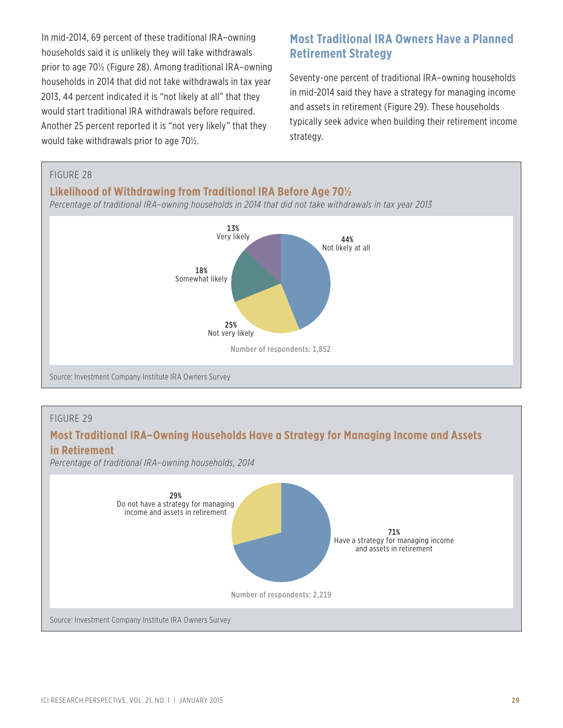In mid-2014, 69 percent of these traditional IRA–owning households said it is unlikely they will take withdrawals prior to age 70½ (Figure 28). Among traditional IRA–owning households in 2014 that did not take withdrawals in tax year 2013, 44 percent indicated it is "not likely at all" that they would start traditional IRA withdrawals before required. Another 25 percent reported it is "not very likely" that they would take withdrawals prior to age 70½.

### **Most Traditional IRA Owners Have a Planned Retirement Strategy**

Seventy-one percent of traditional IRA–owning households in mid-2014 said they have a strategy for managing income and assets in retirement (Figure 29). These households typically seek advice when building their retirement income strategy.



#### FIGURE 29

### **Most Traditional IRA–Owning Households Have a Strategy for Managing Income and Assets in Retirement**

*Percentage of traditional IRA–owning households, 2014*

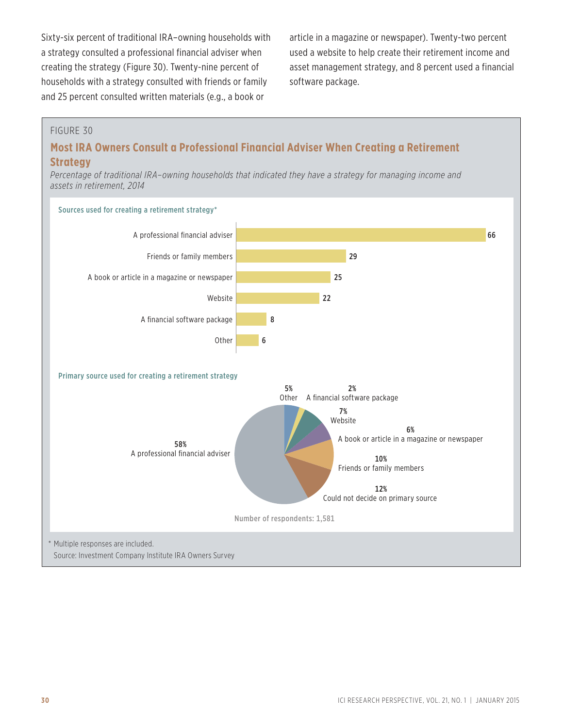Sixty-six percent of traditional IRA–owning households with a strategy consulted a professional financial adviser when creating the strategy (Figure 30). Twenty-nine percent of households with a strategy consulted with friends or family and 25 percent consulted written materials (e.g., a book or

article in a magazine or newspaper). Twenty-two percent used a website to help create their retirement income and asset management strategy, and 8 percent used a financial software package.

#### FIGURE 30

### **Most IRA Owners Consult a Professional Financial Adviser When Creating a Retirement Strategy**

*Percentage of traditional IRA–owning households that indicated they have a strategy for managing income and assets in retirement, 2014*

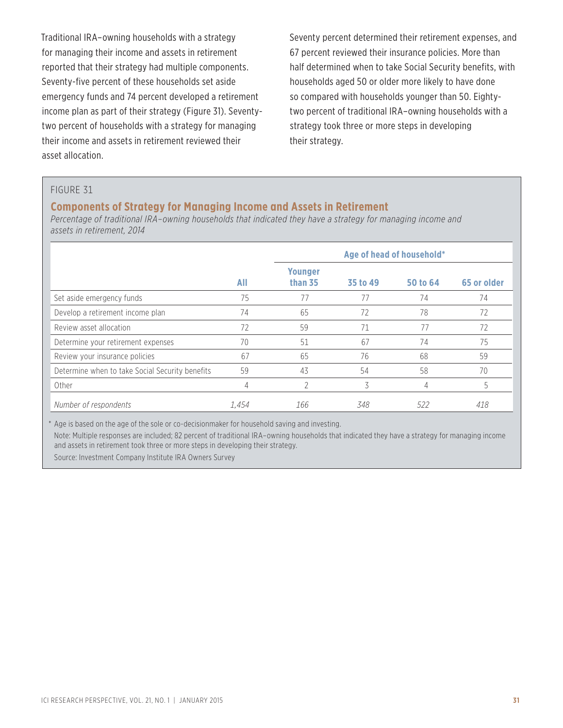Traditional IRA–owning households with a strategy for managing their income and assets in retirement reported that their strategy had multiple components. Seventy-five percent of these households set aside emergency funds and 74 percent developed a retirement income plan as part of their strategy (Figure 31). Seventytwo percent of households with a strategy for managing their income and assets in retirement reviewed their asset allocation.

Seventy percent determined their retirement expenses, and 67 percent reviewed their insurance policies. More than half determined when to take Social Security benefits, with households aged 50 or older more likely to have done so compared with households younger than 50. Eightytwo percent of traditional IRA–owning households with a strategy took three or more steps in developing their strategy.

#### FIGURE 31

#### **Components of Strategy for Managing Income and Assets in Retirement**

*Percentage of traditional IRA–owning households that indicated they have a strategy for managing income and assets in retirement, 2014*

|                                                 |       | Age of head of household* |          |          |             |  |
|-------------------------------------------------|-------|---------------------------|----------|----------|-------------|--|
|                                                 | All   | <b>Younger</b><br>than 35 | 35 to 49 | 50 to 64 | 65 or older |  |
| Set aside emergency funds                       | 75    | 77                        | 77       | 74       | 74          |  |
| Develop a retirement income plan                | 74    | 65                        | 72       | 78       | 72          |  |
| Review asset allocation                         | 72    | 59                        | 71       | 77       | 72          |  |
| Determine your retirement expenses              | 70    | 51                        | 67       | 74       | 75          |  |
| Review your insurance policies                  | 67    | 65                        | 76       | 68       | 59          |  |
| Determine when to take Social Security benefits | 59    | 43                        | 54       | 58       | 70          |  |
| Other                                           | 4     | 2                         | 3        | 4        | 5           |  |
| Number of respondents                           | 1.454 | 166                       | 348      | 522      | 418         |  |

\* Age is based on the age of the sole or co-decisionmaker for household saving and investing.

Note: Multiple responses are included; 82 percent of traditional IRA–owning households that indicated they have a strategy for managing income and assets in retirement took three or more steps in developing their strategy.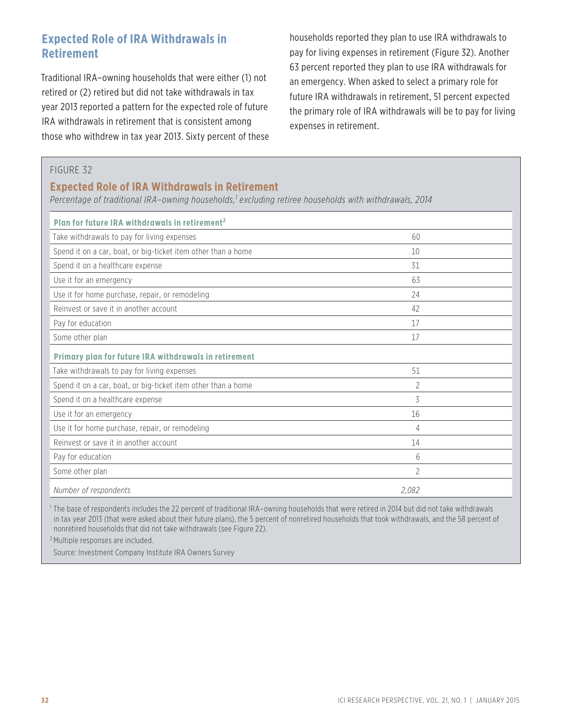### **Expected Role of IRA Withdrawals in Retirement**

Traditional IRA–owning households that were either (1) not retired or (2) retired but did not take withdrawals in tax year 2013 reported a pattern for the expected role of future IRA withdrawals in retirement that is consistent among those who withdrew in tax year 2013. Sixty percent of these households reported they plan to use IRA withdrawals to pay for living expenses in retirement (Figure 32). Another 63 percent reported they plan to use IRA withdrawals for an emergency. When asked to select a primary role for future IRA withdrawals in retirement, 51 percent expected the primary role of IRA withdrawals will be to pay for living expenses in retirement.

#### FIGURE 32

### **Expected Role of IRA Withdrawals in Retirement**

*Percentage of traditional IRA–owning households,1 excluding retiree households with withdrawals, 2014*

| Plan for future IRA withdrawals in retirement <sup>2</sup>    |       |  |
|---------------------------------------------------------------|-------|--|
| Take withdrawals to pay for living expenses                   | 60    |  |
| Spend it on a car, boat, or big-ticket item other than a home | 10    |  |
| Spend it on a healthcare expense                              | 31    |  |
| Use it for an emergency                                       | 63    |  |
| Use it for home purchase, repair, or remodeling               | 24    |  |
| Reinvest or save it in another account                        | 42    |  |
| Pay for education                                             | 17    |  |
| Some other plan                                               | 17    |  |
| Primary plan for future IRA withdrawals in retirement         |       |  |
| Take withdrawals to pay for living expenses                   | 51    |  |
| Spend it on a car, boat, or big-ticket item other than a home | 2     |  |
| Spend it on a healthcare expense                              | 3     |  |
| Use it for an emergency                                       | 16    |  |
| Use it for home purchase, repair, or remodeling               | 4     |  |
| Reinvest or save it in another account                        | 14    |  |
| Pay for education                                             | 6     |  |
| Some other plan                                               | 2     |  |
| Number of respondents                                         | 2.082 |  |

<sup>1</sup> The base of respondents includes the 22 percent of traditional IRA–owning households that were retired in 2014 but did not take withdrawals in tax year 2013 (that were asked about their future plans), the 5 percent of nonretired households that took withdrawals, and the 58 percent of nonretired households that did not take withdrawals (see Figure 22).

<sup>2</sup> Multiple responses are included.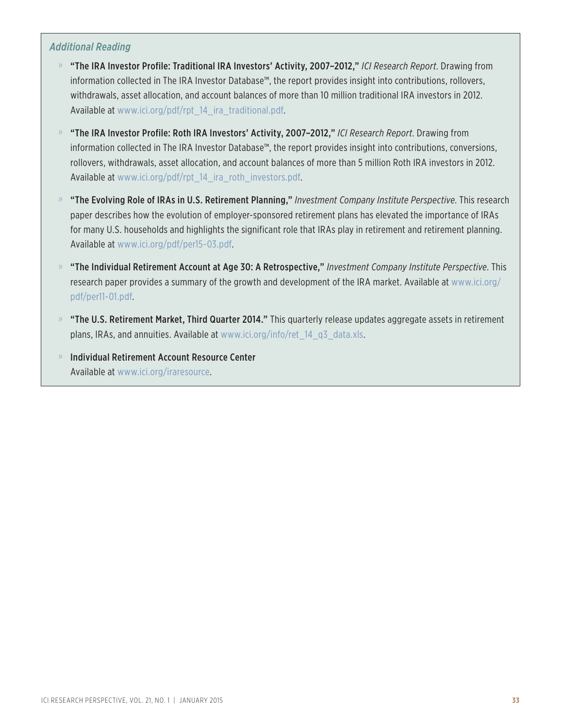### *Additional Reading*

- » "The IRA Investor Profile: Traditional IRA Investors' Activity, 2007–2012," *ICI Research Report*. Drawing from information collected in The IRA Investor Database™, the report provides insight into contributions, rollovers, withdrawals, asset allocation, and account balances of more than 10 million traditional IRA investors in 2012. Available at [www.ici.org/pdf/rpt\\_14\\_ira\\_traditional.pdf.](www.ici.org/pdf/rpt_14_ira_traditional.pdf)
- » "The IRA Investor Profile: Roth IRA Investors' Activity, 2007–2012," *ICI Research Report*. Drawing from information collected in The IRA Investor Database™, the report provides insight into contributions, conversions, rollovers, withdrawals, asset allocation, and account balances of more than 5 million Roth IRA investors in 2012. Available at [www.ici.org/pdf/rpt\\_14\\_ira\\_roth\\_investors.pdf.](www.ici.org/pdf/rpt_14_ira_roth_investors.pdf)
- » "The Evolving Role of IRAs in U.S. Retirement Planning," *Investment Company Institute Perspective*. This research paper describes how the evolution of employer-sponsored retirement plans has elevated the importance of IRAs for many U.S. households and highlights the significant role that IRAs play in retirement and retirement planning. Available at <www.ici.org/pdf/per15-03.pdf>.
- » "The Individual Retirement Account at Age 30: A Retrospective," *Investment Company Institute Perspective*. This research paper provides a summary of the growth and development of the IRA market. Available at [www.ici.org/](www.ici.org/pdf/per11-01.pdf) [pdf/per11-01.pdf.](www.ici.org/pdf/per11-01.pdf)
- » "The U.S. Retirement Market, Third Quarter 2014." This quarterly release updates aggregate assets in retirement plans, IRAs, and annuities. Available at [www.ici.org/info/ret\\_14\\_q3\\_data.xls](www.ici.org/info/ret_14_q3_data.xls).
- » Individual Retirement Account Resource Center Available at <www.ici.org/iraresource>.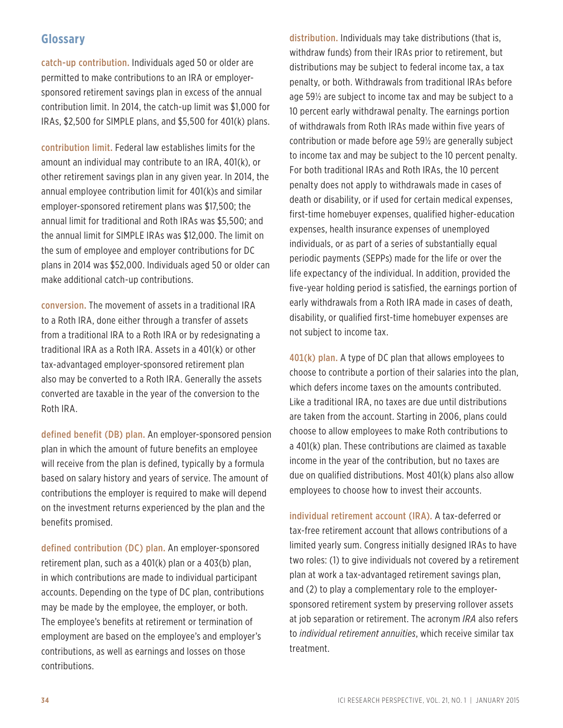### **Glossary**

catch-up contribution. Individuals aged 50 or older are permitted to make contributions to an IRA or employersponsored retirement savings plan in excess of the annual contribution limit. In 2014, the catch-up limit was \$1,000 for IRAs, \$2,500 for SIMPLE plans, and \$5,500 for 401(k) plans.

contribution limit. Federal law establishes limits for the amount an individual may contribute to an IRA, 401(k), or other retirement savings plan in any given year. In 2014, the annual employee contribution limit for 401(k)s and similar employer-sponsored retirement plans was \$17,500; the annual limit for traditional and Roth IRAs was \$5,500; and the annual limit for SIMPLE IRAs was \$12,000. The limit on the sum of employee and employer contributions for DC plans in 2014 was \$52,000. Individuals aged 50 or older can make additional catch-up contributions.

conversion. The movement of assets in a traditional IRA to a Roth IRA, done either through a transfer of assets from a traditional IRA to a Roth IRA or by redesignating a traditional IRA as a Roth IRA. Assets in a 401(k) or other tax-advantaged employer-sponsored retirement plan also may be converted to a Roth IRA. Generally the assets converted are taxable in the year of the conversion to the Roth IRA.

defined benefit (DB) plan. An employer-sponsored pension plan in which the amount of future benefits an employee will receive from the plan is defined, typically by a formula based on salary history and years of service. The amount of contributions the employer is required to make will depend on the investment returns experienced by the plan and the benefits promised.

defined contribution (DC) plan. An employer-sponsored retirement plan, such as a 401(k) plan or a 403(b) plan, in which contributions are made to individual participant accounts. Depending on the type of DC plan, contributions may be made by the employee, the employer, or both. The employee's benefits at retirement or termination of employment are based on the employee's and employer's contributions, as well as earnings and losses on those contributions.

distribution. Individuals may take distributions (that is, withdraw funds) from their IRAs prior to retirement, but distributions may be subject to federal income tax, a tax penalty, or both. Withdrawals from traditional IRAs before age 59½ are subject to income tax and may be subject to a 10 percent early withdrawal penalty. The earnings portion of withdrawals from Roth IRAs made within five years of contribution or made before age 59½ are generally subject to income tax and may be subject to the 10 percent penalty. For both traditional IRAs and Roth IRAs, the 10 percent penalty does not apply to withdrawals made in cases of death or disability, or if used for certain medical expenses, first-time homebuyer expenses, qualified higher-education expenses, health insurance expenses of unemployed individuals, or as part of a series of substantially equal periodic payments (SEPPs) made for the life or over the life expectancy of the individual. In addition, provided the five-year holding period is satisfied, the earnings portion of early withdrawals from a Roth IRA made in cases of death, disability, or qualified first-time homebuyer expenses are not subject to income tax.

401(k) plan. A type of DC plan that allows employees to choose to contribute a portion of their salaries into the plan, which defers income taxes on the amounts contributed. Like a traditional IRA, no taxes are due until distributions are taken from the account. Starting in 2006, plans could choose to allow employees to make Roth contributions to a 401(k) plan. These contributions are claimed as taxable income in the year of the contribution, but no taxes are due on qualified distributions. Most 401(k) plans also allow employees to choose how to invest their accounts.

individual retirement account (IRA). A tax-deferred or tax-free retirement account that allows contributions of a limited yearly sum. Congress initially designed IRAs to have two roles: (1) to give individuals not covered by a retirement plan at work a tax-advantaged retirement savings plan, and (2) to play a complementary role to the employersponsored retirement system by preserving rollover assets at job separation or retirement. The acronym *IRA* also refers to *individual retirement annuities*, which receive similar tax treatment.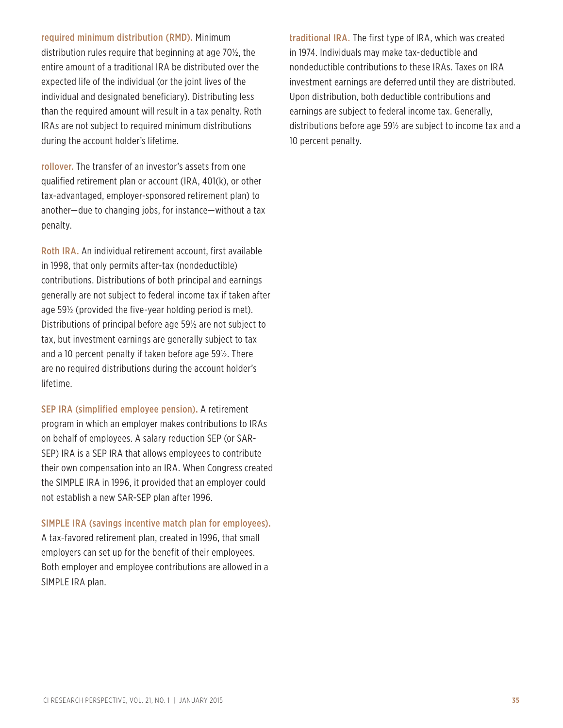required minimum distribution (RMD). Minimum distribution rules require that beginning at age 70½, the entire amount of a traditional IRA be distributed over the expected life of the individual (or the joint lives of the individual and designated beneficiary). Distributing less than the required amount will result in a tax penalty. Roth IRAs are not subject to required minimum distributions during the account holder's lifetime.

rollover. The transfer of an investor's assets from one qualified retirement plan or account (IRA, 401(k), or other tax-advantaged, employer-sponsored retirement plan) to another—due to changing jobs, for instance—without a tax penalty.

Roth IRA. An individual retirement account, first available in 1998, that only permits after-tax (nondeductible) contributions. Distributions of both principal and earnings generally are not subject to federal income tax if taken after age 59½ (provided the five-year holding period is met). Distributions of principal before age 59½ are not subject to tax, but investment earnings are generally subject to tax and a 10 percent penalty if taken before age 59½. There are no required distributions during the account holder's lifetime.

SEP IRA (simplified employee pension). A retirement program in which an employer makes contributions to IRAs on behalf of employees. A salary reduction SEP (or SAR-SEP) IRA is a SEP IRA that allows employees to contribute their own compensation into an IRA. When Congress created the SIMPLE IRA in 1996, it provided that an employer could not establish a new SAR-SEP plan after 1996.

SIMPLE IRA (savings incentive match plan for employees).

A tax-favored retirement plan, created in 1996, that small employers can set up for the benefit of their employees. Both employer and employee contributions are allowed in a SIMPLE IRA plan.

traditional IRA. The first type of IRA, which was created in 1974. Individuals may make tax-deductible and nondeductible contributions to these IRAs. Taxes on IRA investment earnings are deferred until they are distributed. Upon distribution, both deductible contributions and earnings are subject to federal income tax. Generally, distributions before age 59½ are subject to income tax and a 10 percent penalty.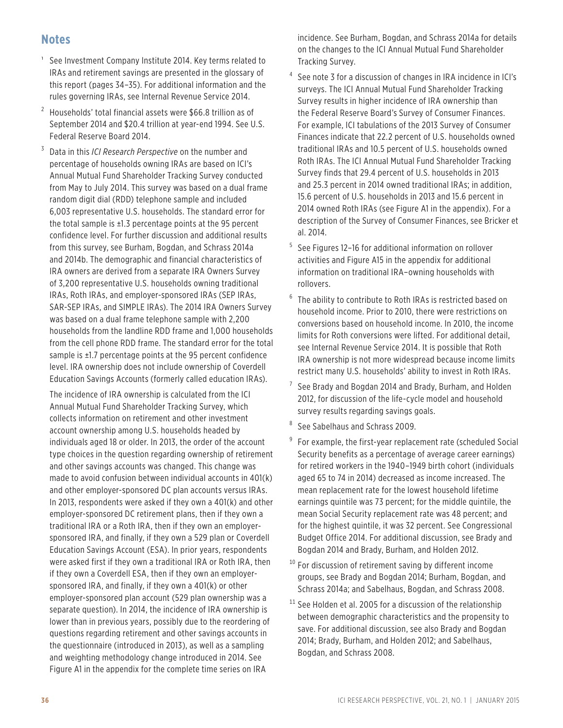### **Notes**

- <sup>1</sup> See Investment Company Institute 2014. Key terms related to IRAs and retirement savings are presented in the glossary of this report (pages 34–35). For additional information and the rules governing IRAs, see Internal Revenue Service 2014.
- $2$  Households' total financial assets were \$66.8 trillion as of September 2014 and \$20.4 trillion at year-end 1994. See U.S. Federal Reserve Board 2014.
- <sup>3</sup> Data in this *ICI Research Perspective* on the number and percentage of households owning IRAs are based on ICI's Annual Mutual Fund Shareholder Tracking Survey conducted from May to July 2014. This survey was based on a dual frame random digit dial (RDD) telephone sample and included 6,003 representative U.S. households. The standard error for the total sample is  $\pm 1.3$  percentage points at the 95 percent confidence level. For further discussion and additional results from this survey, see Burham, Bogdan, and Schrass 2014a and 2014b. The demographic and financial characteristics of IRA owners are derived from a separate IRA Owners Survey of 3,200 representative U.S. households owning traditional IRAs, Roth IRAs, and employer-sponsored IRAs (SEP IRAs, SAR-SEP IRAs, and SIMPLE IRAs). The 2014 IRA Owners Survey was based on a dual frame telephone sample with 2,200 households from the landline RDD frame and 1,000 households from the cell phone RDD frame. The standard error for the total sample is ±1.7 percentage points at the 95 percent confidence level. IRA ownership does not include ownership of Coverdell Education Savings Accounts (formerly called education IRAs).

The incidence of IRA ownership is calculated from the ICI Annual Mutual Fund Shareholder Tracking Survey, which collects information on retirement and other investment account ownership among U.S. households headed by individuals aged 18 or older. In 2013, the order of the account type choices in the question regarding ownership of retirement and other savings accounts was changed. This change was made to avoid confusion between individual accounts in 401(k) and other employer-sponsored DC plan accounts versus IRAs. In 2013, respondents were asked if they own a 401(k) and other employer-sponsored DC retirement plans, then if they own a traditional IRA or a Roth IRA, then if they own an employersponsored IRA, and finally, if they own a 529 plan or Coverdell Education Savings Account (ESA). In prior years, respondents were asked first if they own a traditional IRA or Roth IRA, then if they own a Coverdell ESA, then if they own an employersponsored IRA, and finally, if they own a 401(k) or other employer-sponsored plan account (529 plan ownership was a separate question). In 2014, the incidence of IRA ownership is lower than in previous years, possibly due to the reordering of questions regarding retirement and other savings accounts in the questionnaire (introduced in 2013), as well as a sampling and weighting methodology change introduced in 2014. See Figure A1 in the appendix for the complete time series on IRA

incidence. See Burham, Bogdan, and Schrass 2014a for details on the changes to the ICI Annual Mutual Fund Shareholder Tracking Survey.

- <sup>4</sup> See note 3 for a discussion of changes in IRA incidence in ICI's surveys. The ICI Annual Mutual Fund Shareholder Tracking Survey results in higher incidence of IRA ownership than the Federal Reserve Board's Survey of Consumer Finances. For example, ICI tabulations of the 2013 Survey of Consumer Finances indicate that 22.2 percent of U.S. households owned traditional IRAs and 10.5 percent of U.S. households owned Roth IRAs. The ICI Annual Mutual Fund Shareholder Tracking Survey finds that 29.4 percent of U.S. households in 2013 and 25.3 percent in 2014 owned traditional IRAs; in addition, 15.6 percent of U.S. households in 2013 and 15.6 percent in 2014 owned Roth IRAs (see Figure A1 in the appendix). For a description of the Survey of Consumer Finances, see Bricker et al. 2014.
- <sup>5</sup> See Figures 12–16 for additional information on rollover activities and Figure A15 in the appendix for additional information on traditional IRA–owning households with rollovers.
- <sup>6</sup> The ability to contribute to Roth IRAs is restricted based on household income. Prior to 2010, there were restrictions on conversions based on household income. In 2010, the income limits for Roth conversions were lifted. For additional detail, see Internal Revenue Service 2014. It is possible that Roth IRA ownership is not more widespread because income limits restrict many U.S. households' ability to invest in Roth IRAs.
- <sup>7</sup> See Brady and Bogdan 2014 and Brady, Burham, and Holden 2012, for discussion of the life-cycle model and household survey results regarding savings goals.
- See Sabelhaus and Schrass 2009.
- <sup>9</sup> For example, the first-year replacement rate (scheduled Social Security benefits as a percentage of average career earnings) for retired workers in the 1940–1949 birth cohort (individuals aged 65 to 74 in 2014) decreased as income increased. The mean replacement rate for the lowest household lifetime earnings quintile was 73 percent; for the middle quintile, the mean Social Security replacement rate was 48 percent; and for the highest quintile, it was 32 percent. See Congressional Budget Office 2014. For additional discussion, see Brady and Bogdan 2014 and Brady, Burham, and Holden 2012.
- <sup>10</sup> For discussion of retirement saving by different income groups, see Brady and Bogdan 2014; Burham, Bogdan, and Schrass 2014a; and Sabelhaus, Bogdan, and Schrass 2008.
- $11$  See Holden et al. 2005 for a discussion of the relationship between demographic characteristics and the propensity to save. For additional discussion, see also Brady and Bogdan 2014; Brady, Burham, and Holden 2012; and Sabelhaus, Bogdan, and Schrass 2008.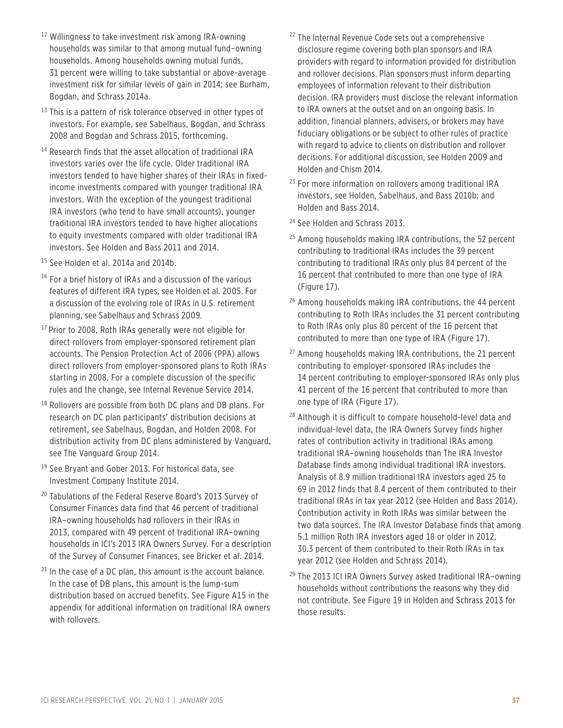- 12 Willingness to take investment risk among IRA-owning households was similar to that among mutual fund–owning households. Among households owning mutual funds, 31 percent were willing to take substantial or above-average investment risk for similar levels of gain in 2014; see Burham, Bogdan, and Schrass 2014a.
- $13$  This is a pattern of risk tolerance observed in other types of investors. For example, see Sabelhaus, Bogdan, and Schrass 2008 and Bogdan and Schrass 2015, forthcoming.
- <sup>14</sup> Research finds that the asset allocation of traditional IRA investors varies over the life cycle. Older traditional IRA investors tended to have higher shares of their IRAs in fixedincome investments compared with younger traditional IRA investors. With the exception of the youngest traditional IRA investors (who tend to have small accounts), younger traditional IRA investors tended to have higher allocations to equity investments compared with older traditional IRA investors. See Holden and Bass 2011 and 2014.
- 15 See Holden et al. 2014a and 2014b.
- $16$  For a brief history of IRAs and a discussion of the various features of different IRA types, see Holden et al. 2005. For a discussion of the evolving role of IRAs in U.S. retirement planning, see Sabelhaus and Schrass 2009.
- <sup>17</sup> Prior to 2008, Roth IRAs generally were not eligible for direct rollovers from employer-sponsored retirement plan accounts. The Pension Protection Act of 2006 (PPA) allows direct rollovers from employer-sponsored plans to Roth IRAs starting in 2008. For a complete discussion of the specific rules and the change, see Internal Revenue Service 2014.
- <sup>18</sup> Rollovers are possible from both DC plans and DB plans. For research on DC plan participants' distribution decisions at retirement, see Sabelhaus, Bogdan, and Holden 2008. For distribution activity from DC plans administered by Vanguard, see The Vanguard Group 2014.
- <sup>19</sup> See Bryant and Gober 2013. For historical data, see Investment Company Institute 2014.
- <sup>20</sup> Tabulations of the Federal Reserve Board's 2013 Survey of Consumer Finances data find that 46 percent of traditional IRA–owning households had rollovers in their IRAs in 2013, compared with 49 percent of traditional IRA–owning households in ICI's 2013 IRA Owners Survey. For a description of the Survey of Consumer Finances, see Bricker et al. 2014.
- $21$  In the case of a DC plan, this amount is the account balance. In the case of DB plans, this amount is the lump-sum distribution based on accrued benefits. See Figure A15 in the appendix for additional information on traditional IRA owners with rollovers.
- <sup>22</sup> The Internal Revenue Code sets out a comprehensive disclosure regime covering both plan sponsors and IRA providers with regard to information provided for distribution and rollover decisions. Plan sponsors must inform departing employees of information relevant to their distribution decision. IRA providers must disclose the relevant information to IRA owners at the outset and on an ongoing basis. In addition, financial planners, advisers, or brokers may have fiduciary obligations or be subject to other rules of practice with regard to advice to clients on distribution and rollover decisions. For additional discussion, see Holden 2009 and Holden and Chism 2014.
- <sup>23</sup> For more information on rollovers among traditional IRA investors, see Holden, Sabelhaus, and Bass 2010b; and Holden and Bass 2014.
- 24 See Holden and Schrass 2013.
- $25$  Among households making IRA contributions, the 52 percent contributing to traditional IRAs includes the 39 percent contributing to traditional IRAs only plus 84 percent of the 16 percent that contributed to more than one type of IRA (Figure 17).
- <sup>26</sup> Among households making IRA contributions, the 44 percent contributing to Roth IRAs includes the 31 percent contributing to Roth IRAs only plus 80 percent of the 16 percent that contributed to more than one type of IRA (Figure 17).
- <sup>27</sup> Among households making IRA contributions, the 21 percent contributing to employer-sponsored IRAs includes the 14 percent contributing to employer-sponsored IRAs only plus 41 percent of the 16 percent that contributed to more than one type of IRA (Figure 17).
- <sup>28</sup> Although it is difficult to compare household-level data and individual-level data, the IRA Owners Survey finds higher rates of contribution activity in traditional IRAs among traditional IRA–owning households than The IRA Investor Database finds among individual traditional IRA investors. Analysis of 8.9 million traditional IRA investors aged 25 to 69 in 2012 finds that 8.4 percent of them contributed to their traditional IRAs in tax year 2012 (see Holden and Bass 2014). Contribution activity in Roth IRAs was similar between the two data sources. The IRA Investor Database finds that among 5.1 million Roth IRA investors aged 18 or older in 2012, 30.3 percent of them contributed to their Roth IRAs in tax year 2012 (see Holden and Schrass 2014).
- 29 The 2013 ICI IRA Owners Survey asked traditional IRA–owning households without contributions the reasons why they did not contribute. See Figure 19 in Holden and Schrass 2013 for those results.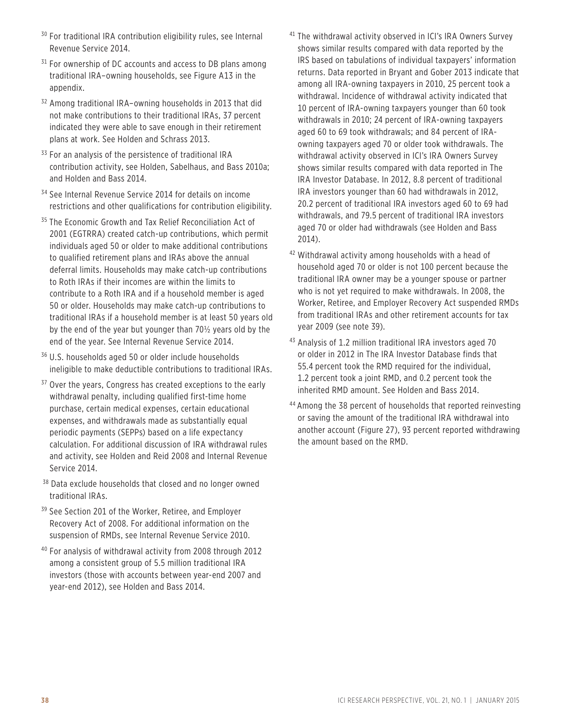- <sup>30</sup> For traditional IRA contribution eligibility rules, see Internal Revenue Service 2014.
- $31$  For ownership of DC accounts and access to DB plans among traditional IRA–owning households, see Figure A13 in the appendix.
- 32 Among traditional IRA–owning households in 2013 that did not make contributions to their traditional IRAs, 37 percent indicated they were able to save enough in their retirement plans at work. See Holden and Schrass 2013.
- <sup>33</sup> For an analysis of the persistence of traditional IRA contribution activity, see Holden, Sabelhaus, and Bass 2010a; and Holden and Bass 2014.
- <sup>34</sup> See Internal Revenue Service 2014 for details on income restrictions and other qualifications for contribution eligibility.
- <sup>35</sup> The Economic Growth and Tax Relief Reconciliation Act of 2001 (EGTRRA) created catch-up contributions, which permit individuals aged 50 or older to make additional contributions to qualified retirement plans and IRAs above the annual deferral limits. Households may make catch-up contributions to Roth IRAs if their incomes are within the limits to contribute to a Roth IRA and if a household member is aged 50 or older. Households may make catch-up contributions to traditional IRAs if a household member is at least 50 years old by the end of the year but younger than 70½ years old by the end of the year. See Internal Revenue Service 2014.
- 36 U.S. households aged 50 or older include households ineligible to make deductible contributions to traditional IRAs.
- <sup>37</sup> Over the years, Congress has created exceptions to the early withdrawal penalty, including qualified first-time home purchase, certain medical expenses, certain educational expenses, and withdrawals made as substantially equal periodic payments (SEPPs) based on a life expectancy calculation. For additional discussion of IRA withdrawal rules and activity, see Holden and Reid 2008 and Internal Revenue Service 2014.
- <sup>38</sup> Data exclude households that closed and no longer owned traditional IRAs.
- <sup>39</sup> See Section 201 of the Worker, Retiree, and Employer Recovery Act of 2008. For additional information on the suspension of RMDs, see Internal Revenue Service 2010.
- 40 For analysis of withdrawal activity from 2008 through 2012 among a consistent group of 5.5 million traditional IRA investors (those with accounts between year-end 2007 and year-end 2012), see Holden and Bass 2014.
- <sup>41</sup> The withdrawal activity observed in ICI's IRA Owners Survey shows similar results compared with data reported by the IRS based on tabulations of individual taxpayers' information returns. Data reported in Bryant and Gober 2013 indicate that among all IRA-owning taxpayers in 2010, 25 percent took a withdrawal. Incidence of withdrawal activity indicated that 10 percent of IRA-owning taxpayers younger than 60 took withdrawals in 2010; 24 percent of IRA-owning taxpayers aged 60 to 69 took withdrawals; and 84 percent of IRAowning taxpayers aged 70 or older took withdrawals. The withdrawal activity observed in ICI's IRA Owners Survey shows similar results compared with data reported in The IRA Investor Database. In 2012, 8.8 percent of traditional IRA investors younger than 60 had withdrawals in 2012, 20.2 percent of traditional IRA investors aged 60 to 69 had withdrawals, and 79.5 percent of traditional IRA investors aged 70 or older had withdrawals (see Holden and Bass 2014).
- 42 Withdrawal activity among households with a head of household aged 70 or older is not 100 percent because the traditional IRA owner may be a younger spouse or partner who is not yet required to make withdrawals. In 2008, the Worker, Retiree, and Employer Recovery Act suspended RMDs from traditional IRAs and other retirement accounts for tax year 2009 (see note 39).
- <sup>43</sup> Analysis of 1.2 million traditional IRA investors aged 70 or older in 2012 in The IRA Investor Database finds that 55.4 percent took the RMD required for the individual, 1.2 percent took a joint RMD, and 0.2 percent took the inherited RMD amount. See Holden and Bass 2014.
- 44 Among the 38 percent of households that reported reinvesting or saving the amount of the traditional IRA withdrawal into another account (Figure 27), 93 percent reported withdrawing the amount based on the RMD.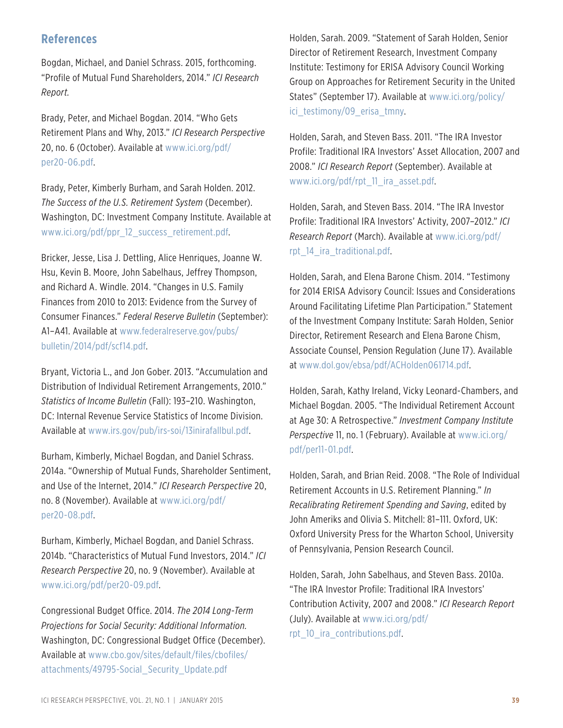### **References**

Bogdan, Michael, and Daniel Schrass. 2015, forthcoming. "Profile of Mutual Fund Shareholders, 2014." *ICI Research Report.*

Brady, Peter, and Michael Bogdan. 2014. "Who Gets Retirement Plans and Why, 2013." *ICI Research Perspective* 20, no. 6 (October). Available at [www.ici.org/pdf](www.ici.org/pdf/per20-06.pdf)/ [per20-06.pdf](www.ici.org/pdf/per20-06.pdf).

Brady, Peter, Kimberly Burham, and Sarah Holden. 2012. *The Success of the U.S. Retirement System* (December). Washington, DC: Investment Company Institute. Available at [www.ici.org/pdf/ppr\\_12\\_success\\_retirement.pdf](www.ici.org/pdf/ppr_12_success_retirement.pdf).

Bricker, Jesse, Lisa J. Dettling, Alice Henriques, Joanne W. Hsu, Kevin B. Moore, John Sabelhaus, Jeffrey Thompson, and Richard A. Windle. 2014. "Changes in U.S. Family Finances from 2010 to 2013: Evidence from the Survey of Consumer Finances." *Federal Reserve Bulletin* (September): A1–A41. Available at [www.federalreserve.gov/pubs/](www.federalreserve.gov/pubs/bulletin/2014/pdf/scf14.pdf) [bulletin/2014/pdf/scf14.pdf.](www.federalreserve.gov/pubs/bulletin/2014/pdf/scf14.pdf)

Bryant, Victoria L., and Jon Gober. 2013. "Accumulation and Distribution of Individual Retirement Arrangements, 2010." *Statistics of Income Bulletin* (Fall): 193–210. Washington, DC: Internal Revenue Service Statistics of Income Division. Available at [www.irs.gov/pub/irs-soi/13inirafallbul.pdf.](www.irs.gov/pub/irs-soi/13inirafallbul.pdf)

Burham, Kimberly, Michael Bogdan, and Daniel Schrass. 2014a. "Ownership of Mutual Funds, Shareholder Sentiment, and Use of the Internet, 2014." *ICI Research Perspective* 20, no. 8 (November). Available at [www.ici.org/pdf/](www.ici.org/pdf/per20-08.pdf) [per20-08.pdf](www.ici.org/pdf/per20-08.pdf).

Burham, Kimberly, Michael Bogdan, and Daniel Schrass. 2014b. "Characteristics of Mutual Fund Investors, 2014." *ICI Research Perspective* 20, no. 9 (November). Available at [www.ici.org/pdf/per20-09.pdf.](www.ici.org/pdf/per20-09.pdf)

Congressional Budget Office. 2014. *The 2014 Long-Term Projections for Social Security: Additional Information.*  Washington, DC: Congressional Budget Office (December). Available at [www.cbo.gov/sites/default/files/cbofiles/](www.cbo.gov/sites/default/files/cbofiles/attachments/49795-Social_Security_Update.pdf) [attachments/49795-Social\\_Security\\_Update.pdf](www.cbo.gov/sites/default/files/cbofiles/attachments/49795-Social_Security_Update.pdf)

Holden, Sarah. 2009. "Statement of Sarah Holden, Senior Director of Retirement Research, Investment Company Institute: Testimony for ERISA Advisory Council Working Group on Approaches for Retirement Security in the United States" (September 17). Available at [www.ici.org/policy/](www.ici.org/policy/ici_testimony/09_erisa_tmny) ici testimony/09 erisa tmny.

Holden, Sarah, and Steven Bass. 2011. "The IRA Investor Profile: Traditional IRA Investors' Asset Allocation, 2007 and 2008." *ICI Research Report* (September). Available at [www.ici.org/pdf/rpt\\_11\\_ira\\_asset.pdf](www.ici.org/pdf/rpt_11_ira_asset.pdf).

Holden, Sarah, and Steven Bass. 2014. "The IRA Investor Profile: Traditional IRA Investors' Activity, 2007–2012." *ICI Research Report* (March). Available at [www.ici.org/pdf/](www.ici.org/pdf/rpt_14_ira_traditional.pdf) [rpt\\_14\\_ira\\_traditional.pdf](www.ici.org/pdf/rpt_14_ira_traditional.pdf).

Holden, Sarah, and Elena Barone Chism. 2014. "Testimony for 2014 ERISA Advisory Council: Issues and Considerations Around Facilitating Lifetime Plan Participation." Statement of the Investment Company Institute: Sarah Holden, Senior Director, Retirement Research and Elena Barone Chism, Associate Counsel, Pension Regulation (June 17). Available at <www.dol.gov/ebsa/pdf/ACHolden061714.pdf>.

Holden, Sarah, Kathy Ireland, Vicky Leonard-Chambers, and Michael Bogdan. 2005. "The Individual Retirement Account at Age 30: A Retrospective." *Investment Company Institute Perspective* 11, no. 1 (February). Available at [www.ici.org/](www.ici.org/pdf/per11-01.pdf) [pdf/per11-01.pdf](www.ici.org/pdf/per11-01.pdf).

Holden, Sarah, and Brian Reid. 2008. "The Role of Individual Retirement Accounts in U.S. Retirement Planning." *In Recalibrating Retirement Spending and Saving*, edited by John Ameriks and Olivia S. Mitchell: 81–111. Oxford, UK: Oxford University Press for the Wharton School, University of Pennsylvania, Pension Research Council.

Holden, Sarah, John Sabelhaus, and Steven Bass. 2010a. "The IRA Investor Profile: Traditional IRA Investors' Contribution Activity, 2007 and 2008." *ICI Research Report* (July). Available at [www.ici.org/pdf/](www.ici.org/pdf/rpt_10_ira_contributions.pdf) [rpt\\_10\\_ira\\_contributions.pdf.](www.ici.org/pdf/rpt_10_ira_contributions.pdf)